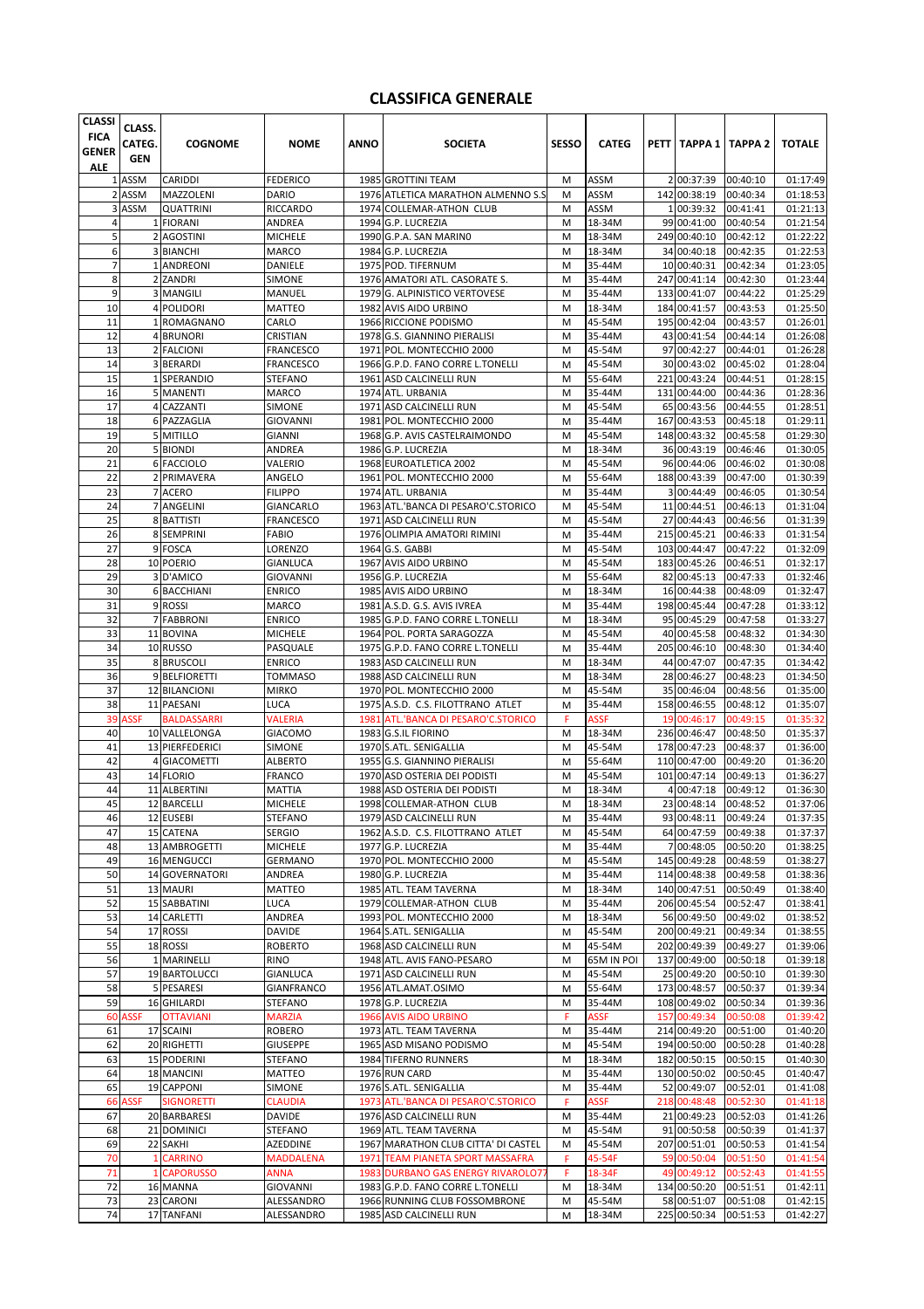## **CLASSIFICA GENERALE**

| <b>CLASSI</b><br><b>FICA</b><br><b>GENER</b> | CLASS.<br>CATEG.<br><b>GEN</b> | <b>COGNOME</b>                    | <b>NOME</b>                     | <b>ANNO</b> | <b>SOCIETA</b>                                                 | SESSO  | <b>CATEG</b>          |     | PETT   TAPPA 1   TAPPA 2     |                      | <b>TOTALE</b>        |
|----------------------------------------------|--------------------------------|-----------------------------------|---------------------------------|-------------|----------------------------------------------------------------|--------|-----------------------|-----|------------------------------|----------------------|----------------------|
| ALE                                          |                                |                                   |                                 |             |                                                                |        |                       |     |                              |                      |                      |
|                                              | 1 ASSM                         | CARIDDI                           | <b>FEDERICO</b>                 |             | 1985 GROTTINI TEAM                                             | M      | ASSM                  |     | 2 00:37:39                   | 00:40:10             | 01:17:49             |
|                                              | 2 ASSM<br>3 ASSM               | MAZZOLENI                         | <b>DARIO</b>                    |             | 1976 ATLETICA MARATHON ALMENNO S.S                             | M      | <b>ASSM</b>           |     | 142 00:38:19                 | 00:40:34             | 01:18:53             |
| 4                                            |                                | <b>QUATTRINI</b><br>1 FIORANI     | <b>RICCARDO</b><br>ANDREA       |             | 1974 COLLEMAR-ATHON CLUB<br>1994 G.P. LUCREZIA                 | M<br>M | ASSM<br>18-34M        |     | 1 00:39:32<br>99 00:41:00    | 00:41:41<br>00:40:54 | 01:21:13<br>01:21:54 |
| 5                                            |                                | 2 AGOSTINI                        | <b>MICHELE</b>                  |             | 1990 G.P.A. SAN MARINO                                         | M      | 18-34M                |     | 249 00:40:10                 | 00:42:12             | 01:22:22             |
| 6                                            |                                | 3 BIANCHI                         | <b>MARCO</b>                    |             | 1984 G.P. LUCREZIA                                             | M      | 18-34M                |     | 34 00:40:18                  | 00:42:35             | 01:22:53             |
| 7                                            |                                | 1 ANDREONI                        | DANIELE                         |             | 1975 POD. TIFERNUM                                             | M      | 35-44M                |     | 10 00:40:31                  | 00:42:34             | 01:23:05             |
| 8                                            |                                | 2 ZANDRI                          | SIMONE                          |             | 1976 AMATORI ATL. CASORATE S.                                  | M      | 35-44M                |     | 247 00:41:14                 | 00:42:30             | 01:23:44             |
| 9                                            |                                | 3 MANGILI                         | MANUEL                          |             | 1979 G. ALPINISTICO VERTOVESE                                  | M      | 35-44M                |     | 133 00:41:07                 | 00:44:22             | 01:25:29             |
| 10                                           |                                | 4 POLIDORI                        | MATTEO                          |             | 1982 AVIS AIDO URBINO                                          | M      | 18-34M                |     | 184 00:41:57                 | 00:43:53             | 01:25:50             |
| 11                                           |                                | 1 ROMAGNANO                       | CARLO                           |             | 1966 RICCIONE PODISMO                                          | M      | 45-54M                |     | 195 00:42:04                 | 00:43:57             | 01:26:01             |
| 12                                           |                                | 4 BRUNORI                         | CRISTIAN                        |             | 1978 G.S. GIANNINO PIERALISI                                   | M      | 35-44M                |     | 43 00:41:54                  | 00:44:14             | 01:26:08             |
| 13                                           |                                | 2 FALCIONI                        | <b>FRANCESCO</b>                |             | 1971 POL. MONTECCHIO 2000                                      | M      | 45-54M                |     | 97 00:42:27                  | 00:44:01             | 01:26:28             |
| 14                                           |                                | 3 BERARDI                         | <b>FRANCESCO</b>                |             | 1966 G.P.D. FANO CORRE L.TONELLI                               | M      | 45-54M                |     | 30 00:43:02                  | 00:45:02             | 01:28:04             |
| 15                                           |                                | 1 SPERANDIO                       | <b>STEFANO</b>                  |             | 1961 ASD CALCINELLI RUN                                        | M      | 55-64M                |     | 221 00:43:24                 | 00:44:51             | 01:28:15             |
| 16                                           |                                | 5 MANENTI                         | <b>MARCO</b>                    |             | 1974 ATL. URBANIA                                              | M      | 35-44M                |     | 131 00:44:00                 | 00:44:36             | 01:28:36             |
| 17<br>18                                     |                                | 4 CAZZANTI                        | SIMONE                          |             | 1971 ASD CALCINELLI RUN                                        | M      | 45-54M                |     | 65 00:43:56                  | 00:44:55             | 01:28:51             |
| 19                                           |                                | 6 PAZZAGLIA<br>5 MITILLO          | <b>GIOVANNI</b>                 |             | 1981 POL. MONTECCHIO 2000<br>1968 G.P. AVIS CASTELRAIMONDO     | M<br>M | 35-44M<br>45-54M      |     | 167 00:43:53<br>148 00:43:32 | 00:45:18<br>00:45:58 | 01:29:11<br>01:29:30 |
| 20                                           |                                | 5 BIONDI                          | <b>GIANNI</b><br><b>ANDREA</b>  |             | 1986 G.P. LUCREZIA                                             | M      | 18-34M                |     | 36 00:43:19                  | 00:46:46             | 01:30:05             |
| 21                                           |                                | 6 FACCIOLO                        | VALERIO                         |             | 1968 EUROATLETICA 2002                                         | M      | 45-54M                |     | 96 00:44:06                  | 00:46:02             | 01:30:08             |
| 22                                           |                                | 2 PRIMAVERA                       | ANGELO                          |             | 1961 POL. MONTECCHIO 2000                                      | M      | 55-64M                |     | 188 00:43:39                 | 00:47:00             | 01:30:39             |
| 23                                           |                                | 7 ACERO                           | <b>FILIPPO</b>                  |             | 1974 ATL. URBANIA                                              | M      | 35-44M                |     | 3 00:44:49                   | 00:46:05             | 01:30:54             |
| 24                                           |                                | 7 ANGELINI                        | <b>GIANCARLO</b>                |             | 1963 ATL.'BANCA DI PESARO'C.STORICO                            | м      | 45-54M                |     | 11 00:44:51                  | 00:46:13             | 01:31:04             |
| 25                                           |                                | 8 BATTISTI                        | <b>FRANCESCO</b>                |             | 1971 ASD CALCINELLI RUN                                        | M      | 45-54M                |     | 27 00:44:43                  | 00:46:56             | 01:31:39             |
| 26                                           |                                | 8 SEMPRINI                        | <b>FABIO</b>                    |             | 1976 OLIMPIA AMATORI RIMINI                                    | M      | 35-44M                |     | 215 00:45:21                 | 00:46:33             | 01:31:54             |
| 27                                           |                                | 9 FOSCA                           | LORENZO                         |             | 1964 G.S. GABBI                                                | M      | 45-54M                |     | 103 00:44:47                 | 00:47:22             | 01:32:09             |
| 28                                           |                                | 10 POERIO                         | <b>GIANLUCA</b>                 |             | 1967 AVIS AIDO URBINO                                          | M      | 45-54M                |     | 183 00:45:26                 | 00:46:51             | 01:32:17             |
| 29                                           |                                | 3 D'AMICO                         | GIOVANNI                        |             | 1956 G.P. LUCREZIA                                             | M      | 55-64M                |     | 82 00:45:13                  | 00:47:33             | 01:32:46             |
| 30                                           |                                | 6 BACCHIANI                       | <b>ENRICO</b>                   |             | 1985 AVIS AIDO URBINO                                          | M      | 18-34M                |     | 16 00:44:38                  | 00:48:09             | 01:32:47             |
| 31                                           |                                | 9 ROSSI                           | MARCO                           |             | 1981 A.S.D. G.S. AVIS IVREA                                    | M      | 35-44M                |     | 198 00:45:44                 | 00:47:28             | 01:33:12             |
| 32                                           |                                | 7 FABBRONI                        | <b>ENRICO</b>                   |             | 1985 G.P.D. FANO CORRE L.TONELLI                               | M      | 18-34M                |     | 95 00:45:29                  | 00:47:58             | 01:33:27             |
| 33<br>34                                     |                                | 11 BOVINA<br>10 RUSSO             | <b>MICHELE</b>                  |             | 1964 POL. PORTA SARAGOZZA<br>1975 G.P.D. FANO CORRE L.TONELLI  | M      | 45-54M<br>35-44M      |     | 40 00:45:58<br>205 00:46:10  | 00:48:32<br>00:48:30 | 01:34:30             |
| 35                                           |                                | 8 BRUSCOLI                        | PASQUALE<br><b>ENRICO</b>       |             | 1983 ASD CALCINELLI RUN                                        | M<br>M | 18-34M                |     | 44 00:47:07                  | 00:47:35             | 01:34:40<br>01:34:42 |
| 36                                           |                                | 9 BELFIORETTI                     | <b>TOMMASO</b>                  |             | 1988 ASD CALCINELLI RUN                                        | M      | 18-34M                |     | 28 00:46:27                  | 00:48:23             | 01:34:50             |
| 37                                           |                                | 12 BILANCIONI                     | <b>MIRKO</b>                    |             | 1970 POL. MONTECCHIO 2000                                      | M      | 45-54M                |     | 35 00:46:04                  | 00:48:56             | 01:35:00             |
| 38                                           |                                | 11 PAESANI                        | <b>LUCA</b>                     |             | 1975 A.S.D. C.S. FILOTTRANO ATLET                              | M      | 35-44M                |     | 158 00:46:55                 | 00:48:12             | 01:35:07             |
| 39                                           | <b>ASSF</b>                    | <b>BALDASSARRI</b>                | <b>VALERIA</b>                  |             | 1981 ATL.'BANCA DI PESARO'C.STORICO                            | F      | <b>ASSF</b>           | 19  | 00:46:17                     | 00:49:15             | 01:35:32             |
| 40                                           |                                | 10 VALLELONGA                     | <b>GIACOMO</b>                  |             | 1983 G.S.IL FIORINO                                            | M      | 18-34M                |     | 236 00:46:47                 | 00:48:50             | 01:35:37             |
| 41                                           |                                | 13 PIERFEDERICI                   | SIMONE                          |             | 1970 S.ATL. SENIGALLIA                                         | M      | 45-54M                |     | 178 00:47:23                 | 00:48:37             | 01:36:00             |
| 42                                           |                                | 4 GIACOMETTI                      | ALBERTO                         |             | 1955 G.S. GIANNINO PIERALISI                                   | M      | 55-64M                |     | 110 00:47:00                 | 00:49:20             | 01:36:20             |
| 43                                           |                                | 14 FLORIO                         | <b>FRANCO</b>                   |             | 1970 ASD OSTERIA DEI PODISTI                                   | M      | 45-54M                |     | 101 00:47:14                 | 00:49:13             | 01:36:27             |
| 44                                           |                                | 11 ALBERTINI                      | <b>MATTIA</b>                   |             | 1988 ASD OSTERIA DEI PODISTI                                   | M      | 18-34M                |     | 4 00:47:18                   | 00:49:12             | 01:36:30             |
| 45                                           |                                | 12 BARCELLI                       | <b>MICHELE</b>                  |             | 1998 COLLEMAR-ATHON CLUB                                       | M      | 18-34M                |     | 23 00:48:14                  | 00:48:52             | 01:37:06             |
| 46                                           |                                | 12 EUSEBI                         | <b>STEFANO</b>                  |             | 1979 ASD CALCINELLI RUN                                        | M      | 35-44M                |     | 93 00:48:11 00:49:24         |                      | 01:37:35             |
| 47                                           |                                | 15 CATENA<br>13 AMBROGETTI        | <b>SERGIO</b><br><b>MICHELE</b> |             | 1962 A.S.D. C.S. FILOTTRANO ATLET<br>1977 G.P. LUCREZIA        | M      | 45-54M<br>35-44M      |     | 64 00:47:59<br>7 00:48:05    | 00:49:38<br>00:50:20 | 01:37:37<br>01:38:25 |
| 48<br>49                                     |                                | 16 MENGUCCI                       | <b>GERMANO</b>                  |             | 1970 POL. MONTECCHIO 2000                                      | M<br>M | 45-54M                |     | 145 00:49:28                 | 00:48:59             | 01:38:27             |
| 50                                           |                                | 14 GOVERNATORI                    | ANDREA                          |             | 1980 G.P. LUCREZIA                                             | M      | 35-44M                |     | 114 00:48:38                 | 00:49:58             | 01:38:36             |
| 51                                           |                                | 13 MAURI                          | MATTEO                          |             | 1985 ATL. TEAM TAVERNA                                         | M      | 18-34M                |     | 140 00:47:51                 | 00:50:49             | 01:38:40             |
| 52                                           |                                | 15 SABBATINI                      | LUCA                            |             | 1979 COLLEMAR-ATHON CLUB                                       | M      | 35-44M                |     | 206 00:45:54                 | 00:52:47             | 01:38:41             |
| 53                                           |                                | 14 CARLETTI                       | ANDREA                          |             | 1993 POL. MONTECCHIO 2000                                      | M      | 18-34M                |     | 56 00:49:50                  | 00:49:02             | 01:38:52             |
| 54                                           |                                | 17 ROSSI                          | DAVIDE                          |             | 1964 S.ATL. SENIGALLIA                                         | M      | 45-54M                |     | 200 00:49:21                 | 00:49:34             | 01:38:55             |
| 55                                           |                                | 18 ROSSI                          | <b>ROBERTO</b>                  |             | 1968 ASD CALCINELLI RUN                                        | M      | 45-54M                |     | 202 00:49:39                 | 00:49:27             | 01:39:06             |
| 56                                           |                                | 1 MARINELLI                       | <b>RINO</b>                     |             | 1948 ATL. AVIS FANO-PESARO                                     | M      | 65M IN POI            |     | 137 00:49:00                 | 00:50:18             | 01:39:18             |
| 57                                           |                                | 19 BARTOLUCCI                     | <b>GIANLUCA</b>                 |             | 1971 ASD CALCINELLI RUN                                        | M      | 45-54M                |     | 25 00:49:20                  | 00:50:10             | 01:39:30             |
| 58                                           |                                | 5 PESARESI                        | <b>GIANFRANCO</b>               |             | 1956 ATL.AMAT.OSIMO                                            | M      | 55-64M                |     | 173 00:48:57                 | 00:50:37             | 01:39:34             |
| 59                                           |                                | 16 GHILARDI                       | <b>STEFANO</b>                  |             | 1978 G.P. LUCREZIA                                             | M      | 35-44M                |     | 108 00:49:02                 | 00:50:34             | 01:39:36             |
| 60                                           | ASSF                           | <b>OTTAVIANI</b>                  | <b>MARZIA</b>                   |             | 1966 AVIS AIDO URBINO                                          | F      | <b>ASSF</b>           | 157 | 00:49:34                     | 00:50:08             | 01:39:42             |
| 61                                           |                                | 17 SCAINI                         | <b>ROBERO</b>                   |             | 1973 ATL. TEAM TAVERNA                                         | M      | 35-44M                |     | 214 00:49:20                 | 00:51:00             | 01:40:20             |
| 62                                           |                                | 20 RIGHETTI                       | <b>GIUSEPPE</b>                 |             | 1965 ASD MISANO PODISMO                                        | M      | 45-54M                |     | 194 00:50:00                 | 00:50:28             | 01:40:28             |
| 63                                           |                                | 15 PODERINI                       | <b>STEFANO</b>                  |             | 1984 TIFERNO RUNNERS                                           | M      | 18-34M                |     | 182 00:50:15                 | 00:50:15             | 01:40:30             |
| 64                                           |                                | 18 MANCINI                        | MATTEO                          |             | 1976 RUN CARD                                                  | M      | 35-44M                |     | 130 00:50:02                 | 00:50:45             | 01:40:47             |
| 65                                           |                                | 19 CAPPONI                        | SIMONE                          |             | 1976 S.ATL. SENIGALLIA                                         | M      | 35-44M                |     | 52 00:49:07                  | 00:52:01             | 01:41:08             |
| 66<br>67                                     | ASSF                           | <b>SIGNORETTI</b><br>20 BARBARESI | <b>CLAUDIA</b><br>DAVIDE        |             | 1973 ATL.'BANCA DI PESARO'C.STORICO<br>1976 ASD CALCINELLI RUN | F<br>M | <b>ASSF</b><br>35-44M | 218 | 00:48:48<br>21 00:49:23      | 00:52:30<br>00:52:03 | 01:41:18<br>01:41:26 |
| 68                                           |                                | 21 DOMINICI                       | STEFANO                         |             | 1969 ATL. TEAM TAVERNA                                         | M      | 45-54M                |     | 91 00:50:58                  | 00:50:39             | 01:41:37             |
| 69                                           |                                | 22 SAKHI                          | AZEDDINE                        |             | 1967 MARATHON CLUB CITTA' DI CASTEL                            | M      | 45-54M                |     | 207 00:51:01                 | 00:50:53             | 01:41:54             |
| 70                                           |                                | 1 CARRINO                         | <b>MADDALENA</b>                |             | 1971 TEAM PIANETA SPORT MASSAFRA                               | F      | 45-54F                |     | 59 00:50:04                  | 00:51:50             | 01:41:54             |
| 71                                           |                                | 1 CAPORUSSO                       | <b>ANNA</b>                     |             | 1983 DURBANO GAS ENERGY RIVAROLO77                             | F      | 18-34F                |     | 49 00:49:12                  | 00:52:43             | 01:41:55             |
| 72                                           |                                | 16 MANNA                          | <b>GIOVANNI</b>                 |             | 1983 G.P.D. FANO CORRE L.TONELLI                               | M      | 18-34M                |     | 134 00:50:20                 | 00:51:51             | 01:42:11             |
| 73                                           |                                | 23 CARONI                         | ALESSANDRO                      |             | 1966 RUNNING CLUB FOSSOMBRONE                                  | M      | 45-54M                |     | 58 00:51:07                  | 00:51:08             | 01:42:15             |
| 74                                           |                                | 17 TANFANI                        | ALESSANDRO                      |             | 1985 ASD CALCINELLI RUN                                        | M      | 18-34M                |     | 225 00:50:34                 | 00:51:53             | 01:42:27             |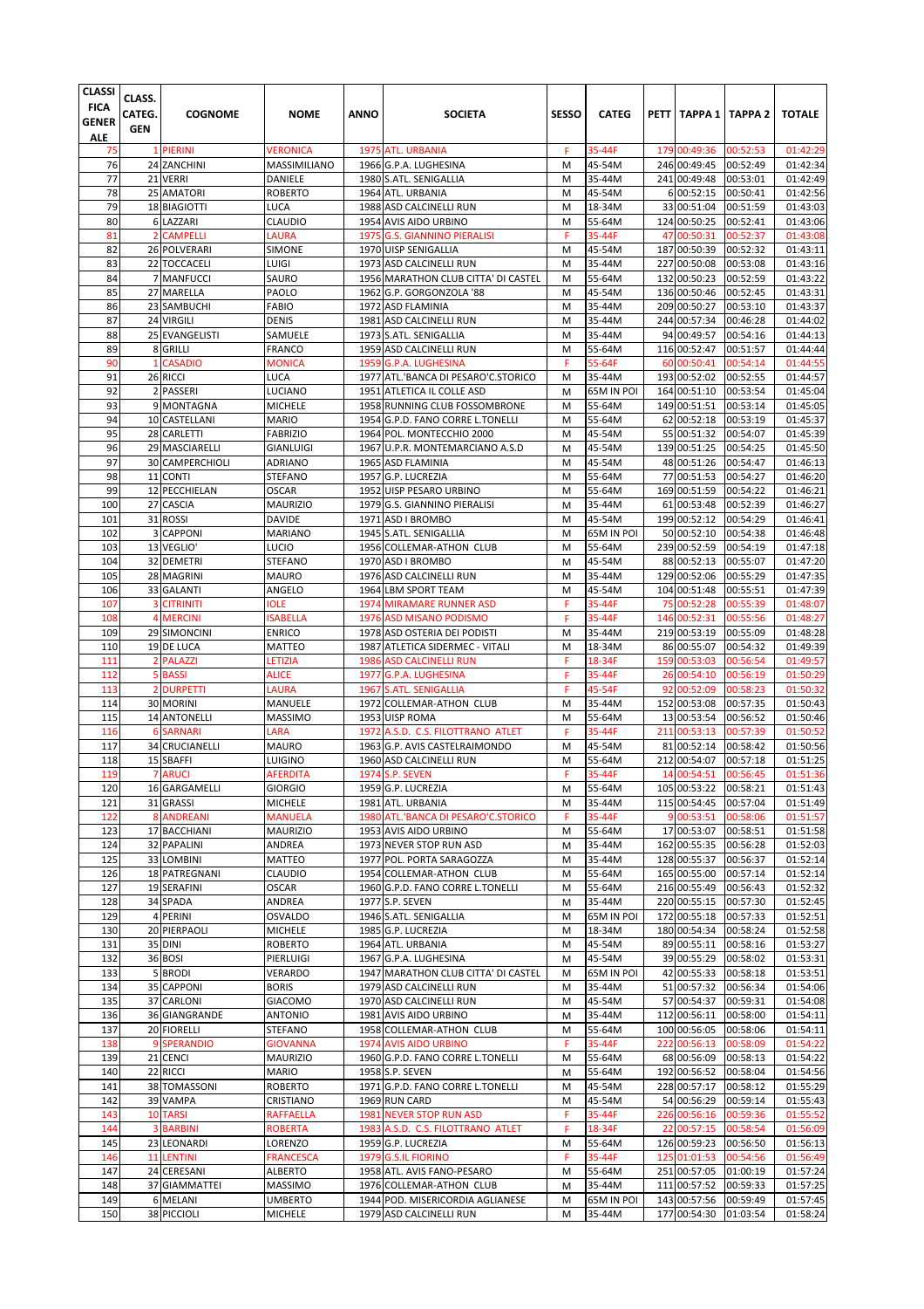| <b>CLASSI</b><br><b>FICA</b><br>GENER<br><b>ALE</b> | CLASS.<br>CATEG.<br><b>GEN</b> | <b>COGNOME</b>                  | <b>NOME</b>                     | ANNO | <b>SOCIETA</b>                                               | <b>SESSO</b> | <b>CATEG</b>         |          | PETT   TAPPA 1   TAPPA 2    |                      | <b>TOTALE</b>        |
|-----------------------------------------------------|--------------------------------|---------------------------------|---------------------------------|------|--------------------------------------------------------------|--------------|----------------------|----------|-----------------------------|----------------------|----------------------|
| 75                                                  |                                | 1 PIERINI                       | <b>VERONICA</b>                 |      | 1975 ATL. URBANIA                                            | F            | 35-44F               |          | 179 00:49:36                | 00:52:53             | 01:42:29             |
| 76                                                  |                                | 24 ZANCHINI                     | MASSIMILIANO                    |      | 1966 G.P.A. LUGHESINA                                        | M            | 45-54M               |          | 246 00:49:45                | 00:52:49             | 01:42:34             |
| 77                                                  |                                | 21 VERRI                        | DANIELE                         |      | 1980 S.ATL. SENIGALLIA                                       | M            | 35-44M               |          | 241 00:49:48                | 00:53:01             | 01:42:49             |
| 78                                                  |                                | 25 AMATORI                      | <b>ROBERTO</b>                  |      | 1964 ATL. URBANIA                                            | M            | 45-54M               |          | 6 00:52:15                  | 00:50:41             | 01:42:56             |
| 79                                                  |                                | 18 BIAGIOTTI                    | <b>LUCA</b>                     |      | 1988 ASD CALCINELLI RUN                                      | M            | 18-34M               |          | 33 00:51:04                 | 00:51:59             | 01:43:03             |
| 80<br>81                                            | $\overline{2}$                 | 6 LAZZARI<br><b>CAMPELLI</b>    | <b>CLAUDIO</b><br><b>LAURA</b>  |      | 1954 AVIS AIDO URBINO<br>1975 G.S. GIANNINO PIERALISI        | M<br>F       | 55-64M<br>35-44F     | 47       | 124 00:50:25<br>00:50:31    | 00:52:41<br>00:52:37 | 01:43:06<br>01:43:08 |
| 82                                                  |                                | 26 POLVERARI                    | SIMONE                          |      | 1970 UISP SENIGALLIA                                         | M            | 45-54M               |          | 187 00:50:39                | 00:52:32             | 01:43:11             |
| 83                                                  |                                | 22 TOCCACELI                    | LUIGI                           |      | 1973 ASD CALCINELLI RUN                                      | M            | 35-44M               |          | 227 00:50:08                | 00:53:08             | 01:43:16             |
| 84                                                  |                                | 7 MANFUCCI                      | SAURO                           |      | 1956 MARATHON CLUB CITTA' DI CASTEL                          | M            | 55-64M               |          | 132 00:50:23                | 00:52:59             | 01:43:22             |
| 85                                                  |                                | 27 MARELLA                      | PAOLO                           |      | 1962 G.P. GORGONZOLA '88                                     | M            | 45-54M               |          | 136 00:50:46                | 00:52:45             | 01:43:31             |
| 86                                                  |                                | 23 SAMBUCHI                     | <b>FABIO</b>                    |      | 1972 ASD FLAMINIA                                            | M            | 35-44M               |          | 209 00:50:27                | 00:53:10             | 01:43:37             |
| 87                                                  |                                | 24 VIRGILI                      | <b>DENIS</b>                    |      | 1981 ASD CALCINELLI RUN                                      | M            | 35-44M               |          | 244 00:57:34                | 00:46:28             | 01:44:02             |
| 88                                                  |                                | 25 EVANGELISTI                  | SAMUELE                         |      | 1973 S.ATL. SENIGALLIA                                       | M            | 35-44M               |          | 94 00:49:57                 | 00:54:16             | 01:44:13             |
| 89                                                  |                                | 8 GRILLI                        | <b>FRANCO</b>                   |      | 1959 ASD CALCINELLI RUN                                      | M            | 55-64M               |          | 116 00:52:47                | 00:51:57             | 01:44:44             |
| 90<br>91                                            | 1                              | <b>CASADIO</b>                  | <b>MONICA</b><br>LUCA           |      | 1959 G.P.A. LUGHESINA<br>1977 ATL.'BANCA DI PESARO'C.STORICO | F<br>M       | 55-64F<br>35-44M     | 60       | 00:50:41<br>193 00:52:02    | 00:54:14<br>00:52:55 | 01:44:55<br>01:44:57 |
| 92                                                  |                                | 26 RICCI<br>2 PASSERI           | LUCIANO                         |      | 1951 ATLETICA IL COLLE ASD                                   | M            | 65M IN POI           |          | 164 00:51:10                | 00:53:54             | 01:45:04             |
| 93                                                  |                                | 9 MONTAGNA                      | <b>MICHELE</b>                  |      | 1958 RUNNING CLUB FOSSOMBRONE                                | M            | 55-64M               |          | 149 00:51:51                | 00:53:14             | 01:45:05             |
| 94                                                  |                                | 10 CASTELLANI                   | <b>MARIO</b>                    |      | 1954 G.P.D. FANO CORRE L.TONELLI                             | M            | 55-64M               |          | 62 00:52:18                 | 00:53:19             | 01:45:37             |
| 95                                                  |                                | 28 CARLETTI                     | <b>FABRIZIO</b>                 |      | 1964 POL. MONTECCHIO 2000                                    | M            | 45-54M               |          | 55 00:51:32                 | 00:54:07             | 01:45:39             |
| 96                                                  |                                | 29 MASCIARELLI                  | <b>GIANLUIGI</b>                |      | 1967 U.P.R. MONTEMARCIANO A.S.D                              | M            | 45-54M               |          | 139 00:51:25                | 00:54:25             | 01:45:50             |
| 97                                                  |                                | 30 CAMPERCHIOLI                 | <b>ADRIANO</b>                  |      | 1965 ASD FLAMINIA                                            | M            | 45-54M               |          | 48 00:51:26                 | 00:54:47             | 01:46:13             |
| 98                                                  |                                | 11 CONTI                        | <b>STEFANO</b>                  |      | 1957 G.P. LUCREZIA                                           | M            | 55-64M               |          | 77 00:51:53                 | 00:54:27             | 01:46:20             |
| 99                                                  |                                | 12 PECCHIELAN                   | <b>OSCAR</b>                    |      | 1952 UISP PESARO URBINO                                      | M            | 55-64M               |          | 169 00:51:59                | 00:54:22             | 01:46:21             |
| 100                                                 |                                | 27 CASCIA                       | <b>MAURIZIO</b>                 |      | 1979 G.S. GIANNINO PIERALISI                                 | M            | 35-44M               |          | 61 00:53:48                 | 00:52:39             | 01:46:27             |
| 101<br>102                                          |                                | 31 ROSSI<br>3 CAPPONI           | <b>DAVIDE</b><br><b>MARIANO</b> |      | 1971 ASD I BROMBO<br>1945 S.ATL. SENIGALLIA                  | M<br>M       | 45-54M<br>65M IN POI |          | 199 00:52:12<br>50 00:52:10 | 00:54:29             | 01:46:41<br>01:46:48 |
| 103                                                 |                                | 13 VEGLIO'                      | <b>LUCIO</b>                    |      | 1956 COLLEMAR-ATHON CLUB                                     | M            | 55-64M               |          | 239 00:52:59                | 00:54:38<br>00:54:19 | 01:47:18             |
| 104                                                 |                                | 32 DEMETRI                      | STEFANO                         |      | 1970 ASD I BROMBO                                            | M            | 45-54M               |          | 88 00:52:13                 | 00:55:07             | 01:47:20             |
| 105                                                 |                                | 28 MAGRINI                      | <b>MAURO</b>                    |      | 1976 ASD CALCINELLI RUN                                      | M            | 35-44M               |          | 129 00:52:06                | 00:55:29             | 01:47:35             |
| 106                                                 |                                | 33 GALANTI                      | ANGELO                          |      | 1964 LBM SPORT TEAM                                          | M            | 45-54M               |          | 104 00:51:48                | 00:55:51             | 01:47:39             |
| 107                                                 | 3                              | <b>CITRINITI</b>                | <b>IOLE</b>                     |      | <b>1974 MIRAMARE RUNNER ASD</b>                              | F            | 35-44F               | 75       | 00:52:28                    | 00:55:39             | 01:48:07             |
| 108                                                 |                                | <b>4 MERCINI</b>                | <b>ISABELLA</b>                 |      | 1976 ASD MISANO PODISMO                                      | F            | 35-44F               | 146      | 00:52:31                    | 00:55:56             | 01:48:27             |
| 109                                                 |                                | 29 SIMONCINI                    | <b>ENRICO</b>                   |      | 1978 ASD OSTERIA DEI PODISTI                                 | M            | 35-44M               |          | 219 00:53:19                | 00:55:09             | 01:48:28             |
| 110                                                 |                                | 19 DE LUCA                      | MATTEO                          |      | 1987 ATLETICA SIDERMEC - VITALI                              | M            | 18-34M               |          | 86 00:55:07                 | 00:54:32             | 01:49:39             |
| 111                                                 |                                | 2 PALAZZI                       | LETIZIA                         |      | 1986 ASD CALCINELLI RUN                                      | F            | 18-34F               | 159      | 00:53:03                    | 00:56:54             | 01:49:57             |
| 112<br>113                                          |                                | 5 BASSI<br>2 DURPETTI           | <b>ALICE</b><br>LAURA           |      | 1977 G.P.A. LUGHESINA<br>1967 S.ATL. SENIGALLIA              | F<br>F       | 35-44F<br>45-54F     | 26<br>92 | 00:54:10<br>00:52:09        | 00:56:19<br>00:58:23 | 01:50:29<br>01:50:32 |
| 114                                                 |                                | 30 MORINI                       | MANUELE                         |      | 1972 COLLEMAR-ATHON CLUB                                     | M            | 35-44M               |          | 152 00:53:08                | 00:57:35             | 01:50:43             |
| 115                                                 |                                | <b>14 ANTONELLI</b>             | <b>MASSIMO</b>                  |      | 1953 UISP ROMA                                               | M            | 55-64M               |          | 13 00:53:54                 | 00:56:52             | 01:50:46             |
| 116                                                 | 6                              | <b>SARNARI</b>                  | LARA                            |      | 1972 A.S.D. C.S. FILOTTRANO ATLET                            | F            | 35-44F               | 211      | 00:53:13                    | 00:57:39             | 01:50:52             |
| 117                                                 |                                | 34 CRUCIANELLI                  | <b>MAURO</b>                    |      | 1963 G.P. AVIS CASTELRAIMONDO                                | M            | 45-54M               |          | 81 00:52:14                 | 00:58:42             | 01:50:56             |
| 118                                                 |                                | 15 SBAFFI                       | LUIGINO                         |      | 1960 ASD CALCINELLI RUN                                      | M            | 55-64M               |          | 212 00:54:07                | 00:57:18             | 01:51:25             |
| 119                                                 |                                | <b>7 ARUCI</b>                  | <b>AFERDITA</b>                 |      | 1974 S.P. SEVEN                                              | F            | 35-44F               |          | 14 00:54:51                 | 00:56:45             | 01:51:36             |
| 120                                                 |                                | 16 GARGAMELLI                   | <b>GIORGIO</b>                  |      | 1959 G.P. LUCREZIA                                           | M            | 55-64M               |          | 105 00:53:22                | 00:58:21             | 01:51:43             |
| 121                                                 |                                | 31 GRASSI                       | <b>MICHELE</b>                  |      | 1981 ATL. URBANIA                                            | M            | 35-44M               |          | 115 00:54:45                | 00:57:04             | 01:51:49             |
| 122                                                 |                                | <b>8 ANDREANI</b>               | <b>MANUELA</b>                  |      | 1980 ATL.'BANCA DI PESARO'C.STORICO                          | F            | 35-44F               |          | 9 00:53:51                  | 00:58:06             | 01:51:57             |
| 123<br>124                                          |                                | 17 BACCHIANI<br>32 PAPALINI     | <b>MAURIZIO</b><br>ANDREA       |      | 1953 AVIS AIDO URBINO<br>1973 NEVER STOP RUN ASD             | M<br>M       | 55-64M<br>35-44M     |          | 17 00:53:07<br>162 00:55:35 | 00:58:51<br>00:56:28 | 01:51:58<br>01:52:03 |
| 125                                                 |                                | 33 LOMBINI                      | MATTEO                          |      | 1977 POL. PORTA SARAGOZZA                                    | M            | 35-44M               |          | 128 00:55:37                | 00:56:37             | 01:52:14             |
| 126                                                 |                                | 18 PATREGNANI                   | CLAUDIO                         |      | 1954 COLLEMAR-ATHON CLUB                                     | M            | 55-64M               |          | 165 00:55:00                | 00:57:14             | 01:52:14             |
| 127                                                 |                                | 19 SERAFINI                     | <b>OSCAR</b>                    |      | 1960 G.P.D. FANO CORRE L.TONELLI                             | M            | 55-64M               |          | 216 00:55:49                | 00:56:43             | 01:52:32             |
| 128                                                 |                                | 34 SPADA                        | ANDREA                          |      | 1977 S.P. SEVEN                                              | M            | 35-44M               |          | 220 00:55:15                | 00:57:30             | 01:52:45             |
| 129                                                 |                                | 4 PERINI                        | <b>OSVALDO</b>                  |      | 1946 S.ATL. SENIGALLIA                                       | M            | 65M IN POI           |          | 172 00:55:18                | 00:57:33             | 01:52:51             |
| 130                                                 |                                | 20 PIERPAOLI                    | <b>MICHELE</b>                  |      | 1985 G.P. LUCREZIA                                           | M            | 18-34M               |          | 180 00:54:34                | 00:58:24             | 01:52:58             |
| 131                                                 |                                | 35 DINI                         | <b>ROBERTO</b>                  |      | 1964 ATL. URBANIA                                            | M            | 45-54M               |          | 89 00:55:11                 | 00:58:16             | 01:53:27             |
| 132                                                 |                                | 36 BOSI                         | PIERLUIGI                       |      | 1967 G.P.A. LUGHESINA                                        | M            | 45-54M               |          | 39 00:55:29                 | 00:58:02             | 01:53:31             |
| 133<br>134                                          |                                | 5 BRODI                         | VERARDO                         |      | 1947 MARATHON CLUB CITTA' DI CASTEL                          | M            | 65M IN POI           |          | 42 00:55:33                 | 00:58:18             | 01:53:51             |
| 135                                                 |                                | 35 CAPPONI<br>37 CARLONI        | <b>BORIS</b><br>GIACOMO         |      | 1979 ASD CALCINELLI RUN<br>1970 ASD CALCINELLI RUN           | M<br>M       | 35-44M<br>45-54M     |          | 51 00:57:32<br>57 00:54:37  | 00:56:34<br>00:59:31 | 01:54:06<br>01:54:08 |
| 136                                                 |                                | 36 GIANGRANDE                   | <b>ANTONIO</b>                  |      | 1981 AVIS AIDO URBINO                                        | M            | 35-44M               |          | 112 00:56:11                | 00:58:00             | 01:54:11             |
| 137                                                 |                                | 20 FIORELLI                     | <b>STEFANO</b>                  |      | 1958 COLLEMAR-ATHON CLUB                                     | M            | 55-64M               |          | 100 00:56:05                | 00:58:06             | 01:54:11             |
| 138                                                 |                                | 9 SPERANDIO                     | <b>GIOVANNA</b>                 |      | 1974 AVIS AIDO URBINO                                        | F            | 35-44F               |          | 222 00:56:13                | 00:58:09             | 01:54:22             |
| 139                                                 |                                | 21 CENCI                        | <b>MAURIZIO</b>                 |      | 1960 G.P.D. FANO CORRE L.TONELLI                             | M            | 55-64M               |          | 68 00:56:09                 | 00:58:13             | 01:54:22             |
| 140                                                 |                                | 22 RICCI                        | <b>MARIO</b>                    |      | 1958 S.P. SEVEN                                              | M            | 55-64M               |          | 192 00:56:52                | 00:58:04             | 01:54:56             |
| 141                                                 |                                | 38 TOMASSONI                    | <b>ROBERTO</b>                  |      | 1971 G.P.D. FANO CORRE L.TONELLI                             | M            | 45-54M               |          | 228 00:57:17                | 00:58:12             | 01:55:29             |
| 142                                                 |                                | 39 VAMPA                        | CRISTIANO                       |      | 1969 RUN CARD                                                | M            | 45-54M               |          | 54 00:56:29                 | 00:59:14             | 01:55:43             |
| 143                                                 |                                | <b>10 TARSI</b>                 | <b>RAFFAELLA</b>                |      | 1981 NEVER STOP RUN ASD                                      | F            | 35-44F               |          | 226 00:56:16                | 00:59:36             | 01:55:52             |
| 144<br>145                                          |                                | <b>3 BARBINI</b><br>23 LEONARDI | <b>ROBERTA</b><br>LORENZO       |      | 1983 A.S.D. C.S. FILOTTRANO ATLET<br>1959 G.P. LUCREZIA      | F<br>M       | 18-34F<br>55-64M     |          | 22 00:57:15<br>126 00:59:23 | 00:58:54<br>00:56:50 | 01:56:09<br>01:56:13 |
| 146                                                 |                                | <b>11 LENTINI</b>               | <b>FRANCESCA</b>                |      | 1979 G.S.IL FIORINO                                          | F            | 35-44F               |          | 125 01:01:53                | 00:54:56             | 01:56:49             |
| 147                                                 |                                | 24 CERESANI                     | ALBERTO                         |      | 1958 ATL. AVIS FANO-PESARO                                   | M            | 55-64M               |          | 251 00:57:05                | 01:00:19             | 01:57:24             |
| 148                                                 |                                | 37 GIAMMATTEI                   | MASSIMO                         |      | 1976 COLLEMAR-ATHON CLUB                                     | M            | 35-44M               |          | 111 00:57:52                | 00:59:33             | 01:57:25             |
| 149                                                 |                                | 6 MELANI                        | <b>UMBERTO</b>                  |      | 1944 POD. MISERICORDIA AGLIANESE                             | M            | 65M IN POI           |          | 143 00:57:56                | 00:59:49             | 01:57:45             |
| 150                                                 |                                | 38 PICCIOLI                     | <b>MICHELE</b>                  |      | 1979 ASD CALCINELLI RUN                                      | M            | 35-44M               |          | 177 00:54:30                | 01:03:54             | 01:58:24             |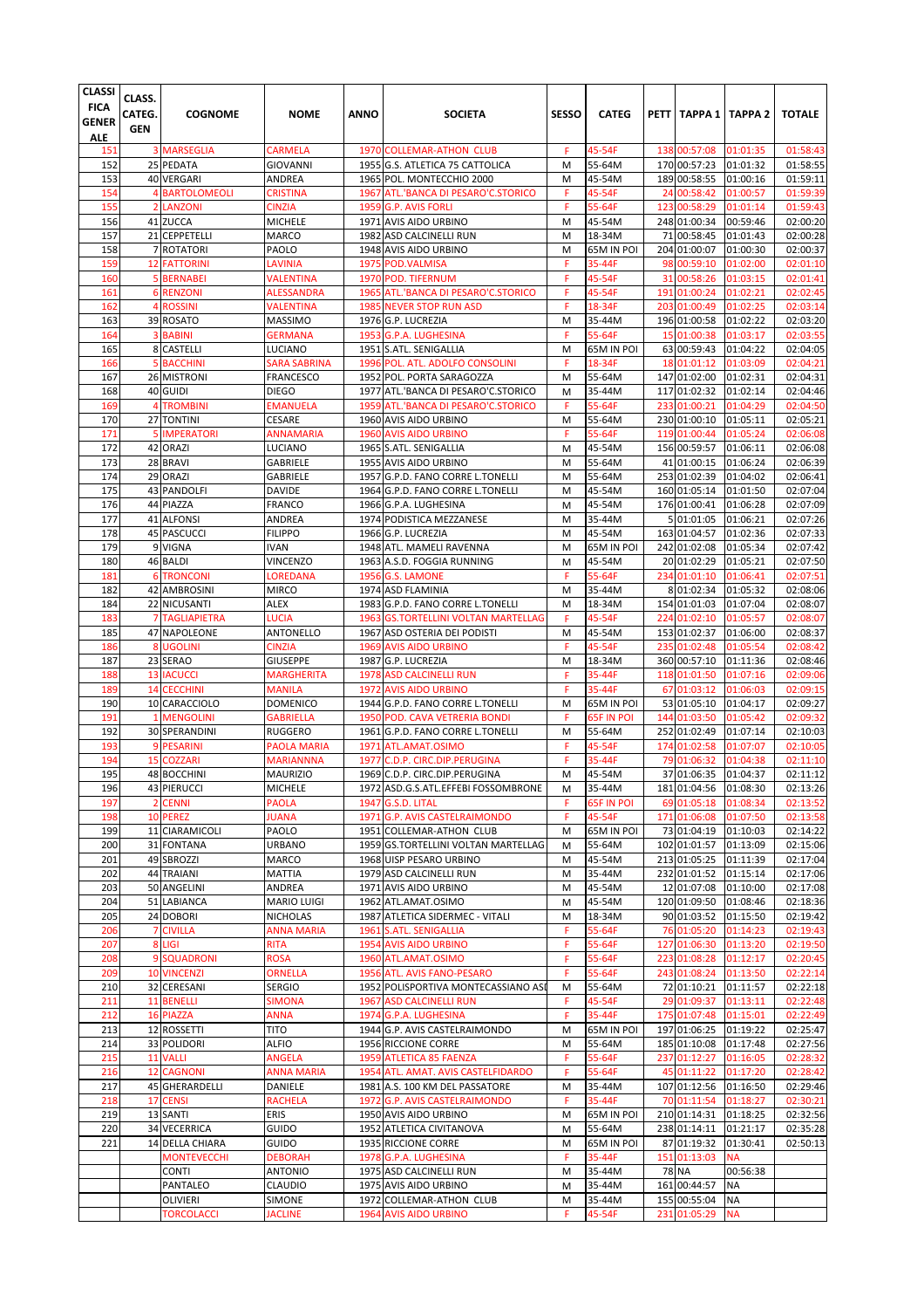| <b>3 MARSEGLIA</b><br><b>CARMELA</b><br>45-54F<br>00:57:08<br>01:58:43<br>151<br>1970 COLLEMAR-ATHON CLUB<br>F<br>138<br>01:01:35<br>152<br>25 PEDATA<br>170 00:57:23<br><b>GIOVANNI</b><br>1955 G.S. ATLETICA 75 CATTOLICA<br>M<br>55-64M<br>01:01:32<br>01:58:55<br>153<br>40 VERGARI<br>1965 POL. MONTECCHIO 2000<br>189 00:58:55<br>ANDREA<br>45-54M<br>01:00:16<br>01:59:11<br>M<br>154<br>45-54F<br>01:59:39<br><b>BARTOLOMEOLI</b><br><b>CRISTINA</b><br>1967 ATL.'BANCA DI PESARO'C.STORICO<br>00:58:42<br>01:00:57<br>F<br>24<br>155<br>F<br>01:59:43<br>$\overline{2}$<br><b>LANZONI</b><br><b>CINZIA</b><br>1959 G.P. AVIS FORLI<br>55-64F<br>123<br>00:58:29<br>01:01:14<br>156<br>41 ZUCCA<br><b>MICHELE</b><br>45-54M<br>248 01:00:34<br>00:59:46<br>02:00:20<br>1971 AVIS AIDO URBINO<br>M<br>157<br>21 CEPPETELLI<br><b>MARCO</b><br>1982 ASD CALCINELLI RUN<br>M<br>18-34M<br>71 00:58:45<br>01:01:43<br>02:00:28<br>158<br>204 01:00:07<br>02:00:37<br>7 ROTATORI<br>PAOLO<br>1948 AVIS AIDO URBINO<br>M<br>65M IN POI<br>01:00:30<br>159<br><b>12 FATTORINI</b><br><b>LAVINIA</b><br>1975 POD.VALMISA<br>35-44F<br>98<br>00:59:10<br>01:02:00<br>02:01:10<br>F<br>160<br>1970 POD. TIFERNUM<br>45-54F<br>00:58:26<br>01:03:15<br>02:01:41<br>5 BERNABEI<br>VALENTINA<br>F<br>31<br>161<br><b>6 RENZONI</b><br><b>ALESSANDRA</b><br>1965 ATL.'BANCA DI PESARO'C.STORICO<br>F<br>45-54F<br>191<br>01:00:24<br>01:02:21<br>02:02:45<br>162<br>4 ROSSINI<br>1985 NEVER STOP RUN ASD<br>18-34F<br>203<br>01:00:49<br>01:02:25<br>02:03:14<br>VALENTINA<br>F<br>163<br>196 01:00:58<br>01:02:22<br>02:03:20<br>39 ROSATO<br><b>MASSIMO</b><br>1976 G.P. LUCREZIA<br>M<br>35-44M<br>164<br>F<br>55-64F<br>15<br>01:00:38<br>02:03:55<br>3 BABINI<br><b>GERMANA</b><br>1953 G.P.A. LUGHESINA<br>01:03:17<br>165<br>63 00:59:43<br>8 CASTELLI<br>1951 S.ATL. SENIGALLIA<br>65M IN POI<br>01:04:22<br>02:04:05<br>LUCIANO<br>M<br>18-34F<br>01:01:12<br>01:03:09<br>02:04:21<br>166<br><b>5 BACCHINI</b><br>SARA SABRINA<br>1996 POL. ATL. ADOLFO CONSOLINI<br>F<br>18<br>167<br>26 MISTRONI<br>M<br>55-64M<br>147 01:02:00<br>01:02:31<br>02:04:31<br><b>FRANCESCO</b><br>1952 POL. PORTA SARAGOZZA<br>168<br>117 01:02:32<br>01:02:14<br>02:04:46<br>40 GUIDI<br><b>DIEGO</b><br>1977 ATL.'BANCA DI PESARO'C.STORICO<br>35-44M<br>M<br>55-64F<br>169<br><b>TROMBINI</b><br><b>EMANUELA</b><br>1959 ATL.'BANCA DI PESARO'C.STORICO<br>F<br>233<br>01:00:21<br>01:04:29<br>02:04:50<br>4<br>170<br>27 TONTINI<br><b>CESARE</b><br>1960 AVIS AIDO URBINO<br>M<br>55-64M<br>230 01:00:10<br>01:05:11<br>02:05:21<br>55-64F<br>171<br><b>IMPERATORI</b><br><b>ANNAMARIA</b><br><b>1960 AVIS AIDO URBINO</b><br>F<br>119<br>01:00:44<br>01:05:24<br>02:06:08<br>172<br>42 ORAZI<br>LUCIANO<br>1965 S.ATL. SENIGALLIA<br>M<br>45-54M<br>156 00:59:57<br>01:06:11<br>02:06:08<br>173<br>02:06:39<br>28 BRAVI<br><b>GABRIELE</b><br>1955 AVIS AIDO URBINO<br>M<br>55-64M<br>41 01:00:15<br>01:06:24<br>02:06:41<br>174<br>29 ORAZI<br><b>GABRIELE</b><br>1957 G.P.D. FANO CORRE L.TONELLI<br>M<br>55-64M<br>253 01:02:39<br>01:04:02<br>175<br>160 01:05:14<br>02:07:04<br>43 PANDOLFI<br><b>DAVIDE</b><br>1964 G.P.D. FANO CORRE L.TONELLI<br>M<br>45-54M<br>01:01:50<br>176<br>44 PIAZZA<br><b>FRANCO</b><br>176 01:00:41<br>02:07:09<br>1966 G.P.A. LUGHESINA<br>M<br>45-54M<br>01:06:28<br>177<br>41 ALFONSI<br>ANDREA<br>35-44M<br>5 01:01:05<br>1974 PODISTICA MEZZANESE<br>01:06:21<br>02:07:26<br>M<br>178<br>M<br>45-54M<br>163 01:04:57<br><b>45 PASCUCCI</b><br><b>FILIPPO</b><br>1966 G.P. LUCREZIA<br>01:02:36<br>02:07:33<br>179<br>242 01:02:08<br>9 VIGNA<br><b>IVAN</b><br>1948 ATL. MAMELI RAVENNA<br>M<br>65M IN POI<br>01:05:34<br>02:07:42<br>180<br>46 BALDI<br>VINCENZO<br>1963 A.S.D. FOGGIA RUNNING<br>45-54M<br>20 01:02:29<br>01:05:21<br>02:07:50<br>M<br>181<br>55-64F<br><b>TRONCONI</b><br>LOREDANA<br><b>1956 G.S. LAMONE</b><br>F<br>234<br>01:01:10<br>01:06:41<br>02:07:51<br>6<br>182<br>M<br>42 AMBROSINI<br><b>MIRCO</b><br>1974 ASD FLAMINIA<br>35-44M<br>8 01:02:34<br>01:05:32<br>184<br>22 NICUSANTI<br>ALEX<br>1983 G.P.D. FANO CORRE L.TONELLI<br>18-34M<br>154 01:01:03<br>01:07:04<br>02:08:07<br>M<br>45-54F<br>183<br><b>7 TAGLIAPIETRA</b><br>LUCIA<br>1963 GS.TORTELLINI VOLTAN MARTELLAG<br>F<br>224 01:02:10<br>01:05:57<br>02:08:07<br>185<br>47 NAPOLEONE<br>ANTONELLO<br>1967 ASD OSTERIA DEI PODISTI<br>M<br>45-54M<br>153 01:02:37<br>01:06:00<br>02:08:37<br>45-54F<br>186<br>8 UGOLINI<br><b>CINZIA</b><br>1969 AVIS AIDO URBINO<br>F<br>235<br>01:02:48<br>01:05:54<br>02:08:42<br>187<br>23 SERAO<br><b>GIUSEPPE</b><br>1987 G.P. LUCREZIA<br>18-34M<br>360 00:57:10<br>01:11:36<br>02:08:46<br>M<br>188<br><b>13 IACUCCI</b><br>F<br>35-44F<br>01:01:50<br><b>MARGHERITA</b><br>1978 ASD CALCINELLI RUN<br>118<br>01:07:16<br>02:09:06<br>189<br><b>1972 AVIS AIDO URBINO</b><br>F<br>35-44F<br>67 01:03:12<br>02:09:15<br><b>14 CECCHINI</b><br><b>MANILA</b><br>01:06:03<br>190<br>53 01:05:10<br>10 CARACCIOLO<br><b>DOMENICO</b><br>1944 G.P.D. FANO CORRE L.TONELLI<br>65M IN POI<br>01:04:17<br>02:09:27<br>M<br>191<br>1950 POD. CAVA VETRERIA BONDI<br>01:03:50<br>01:05:42<br>02:09:32<br><b>MENGOLINI</b><br><b>GABRIELLA</b><br>F<br>65F IN POI<br>144<br>1<br>192<br>252 01:02:49<br>02:10:03<br>30 SPERANDINI<br><b>RUGGERO</b><br>1961 G.P.D. FANO CORRE L.TONELLI<br>M<br>55-64M<br>01:07:14<br>193<br>9 PESARINI<br>45-54F<br>174<br>01:02:58<br>01:07:07<br>02:10:05<br>PAOLA MARIA<br>1971 ATL.AMAT.OSIMO<br>F<br>194<br>F<br>15<br><b>COZZARI</b><br><b>MARIANNNA</b><br>1977 C.D.P. CIRC.DIP.PERUGINA<br>35-44F<br>79 01:06:32<br>01:04:38<br>02:11:10<br>195<br>M<br>37 01:06:35<br>48 BOCCHINI<br><b>MAURIZIO</b><br>1969 C.D.P. CIRC.DIP.PERUGINA<br>45-54M<br>01:04:37<br>02:11:12<br>196<br>43 PIERUCCI<br><b>MICHELE</b><br>1972 ASD.G.S.ATL.EFFEBI FOSSOMBRONE<br>35-44M<br>181 01:04:56<br>01:08:30<br>02:13:26<br>M<br>197<br><b>CENNI</b><br><b>PAOLA</b><br><b>65F IN POI</b><br>69 01:05:18<br>01:08:34<br>02:13:52<br>$\overline{2}$<br>1947 G.S.D. LITAL<br>F<br>198<br><b>JUANA</b><br>1971 G.P. AVIS CASTELRAIMONDO<br>45-54F<br>171 01:06:08<br>02:13:58<br>10 PEREZ<br>F<br>01:07:50<br>11 CIARAMICOLI<br>1951 COLLEMAR-ATHON CLUB<br>73 01:04:19<br>02:14:22<br>199<br>PAOLO<br>65M IN POI<br>01:10:03<br>M<br>200<br>31 FONTANA<br><b>URBANO</b><br>1959 GS.TORTELLINI VOLTAN MARTELLAG<br>55-64M<br>102 01:01:57<br>01:13:09<br>M<br>201<br>49 SBROZZI<br>MARCO<br>1968 UISP PESARO URBINO<br>45-54M<br>213 01:05:25<br>01:11:39<br>M<br>202<br>44 TRAIANI<br><b>MATTIA</b><br>1979 ASD CALCINELLI RUN<br>35-44M<br>232 01:01:52<br>01:15:14<br>M<br>50 ANGELINI<br>ANDREA<br>1971 AVIS AIDO URBINO<br>45-54M<br>12 01:07:08<br>01:10:00<br>02:17:08<br>203<br>M<br>204<br>MARIO LUIGI<br>1962 ATL.AMAT.OSIMO<br>45-54M<br>120 01:09:50<br>01:08:46<br>51 LABIANCA<br>M<br>02:18:36<br>205<br><b>NICHOLAS</b><br>1987 ATLETICA SIDERMEC - VITALI<br>90 01:03:52<br>01:15:50<br>24 DOBORI<br>18-34M<br>02:19:42<br>M<br>206<br><b>CIVILLA</b><br>55-64F<br>7<br><b>ANNA MARIA</b><br>1961 S.ATL. SENIGALLIA<br>76 01:05:20<br>01:14:23<br>02:19:43<br>F<br>207<br>1954 AVIS AIDO URBINO<br>F<br>55-64F<br>01:13:20<br>02:19:50<br>8<br><b>LIGI</b><br><b>RITA</b><br>127 01:06:30<br>208<br>9 SQUADRONI<br><b>ROSA</b><br>55-64F<br>1960 ATL.AMAT.OSIMO<br>223 01:08:28<br>01:12:17<br>02:20:45<br>F<br>209<br><b>10 VINCENZI</b><br><b>ORNELLA</b><br>1956 ATL. AVIS FANO-PESARO<br>55-64F<br>243 01:08:24<br>01:13:50<br>02:22:14<br>F<br>210<br>1952 POLISPORTIVA MONTECASSIANO ASI<br>32 CERESANI<br><b>SERGIO</b><br>55-64M<br>72 01:10:21 01:11:57<br>M<br>45-54F<br>29 01:09:37<br>211<br><b>11 BENELLI</b><br><b>SIMONA</b><br>1967 ASD CALCINELLI RUN<br>01:13:11<br>02:22:48<br>F.<br>212<br>16 PIAZZA<br>1974 G.P.A. LUGHESINA<br>F<br>35-44F<br>175 01:07:48<br>01:15:01<br>02:22:49<br><b>ANNA</b><br>213<br>12 ROSSETTI<br>1944 G.P. AVIS CASTELRAIMONDO<br>65M IN POI<br>197 01:06:25<br>01:19:22<br>02:25:47<br><b>TITO</b><br>M<br>214<br>33 POLIDORI<br>1956 RICCIONE CORRE<br>185 01:10:08<br>01:17:48<br>02:27:56<br><b>ALFIO</b><br>55-64M<br>M<br>F<br>55-64F<br>215<br><b>11 VALLI</b><br><b>ANGELA</b><br>1959 ATLETICA 85 FAENZA<br>01:12:27<br>01:16:05<br>02:28:32<br>237<br>55-64F<br>45 01:11:22<br>216<br><b>12 CAGNONI</b><br><b>ANNA MARIA</b><br>1954 ATL. AMAT. AVIS CASTELFIDARDO<br>F<br>01:17:20<br>02:28:42<br>217<br>45 GHERARDELLI<br>DANIELE<br>1981 A.S. 100 KM DEL PASSATORE<br>35-44M<br>107 01:12:56<br>01:16:50<br>02:29:46<br>M<br>218<br>F<br>35-44F<br>17 CENSI<br><b>RACHELA</b><br>1972 G.P. AVIS CASTELRAIMONDO<br>70 01:11:54<br>01:18:27<br>02:30:21<br>219<br>210 01:14:31<br>13 SANTI<br>ERIS<br>1950 AVIS AIDO URBINO<br>M<br>65M IN POI<br>01:18:25<br>220<br>34 VECERRICA<br>GUIDO<br>1952 ATLETICA CIVITANOVA<br>55-64M<br>238 01:14:11<br>01:21:17<br>M<br>221<br>14 DELLA CHIARA<br>GUIDO<br>1935 RICCIONE CORRE<br>65M IN POI<br>87 01:19:32<br>M<br>01:30:41<br><b>MONTEVECCHI</b><br><b>DEBORAH</b><br>1978 G.P.A. LUGHESINA<br>35-44F<br>151 01:13:03<br>F<br><b>NA</b><br>1975 ASD CALCINELLI RUN<br><b>78 NA</b><br><b>CONTI</b><br><b>ANTONIO</b><br>35-44M<br>00:56:38<br>M<br>PANTALEO<br>CLAUDIO<br>1975 AVIS AIDO URBINO<br>35-44M<br>161 00:44:57<br>M<br><b>NA</b><br><b>OLIVIERI</b><br>SIMONE<br>1972 COLLEMAR-ATHON CLUB<br>35-44M<br>155 00:55:04<br>M<br><b>NA</b><br><b>TORCOLACCI</b><br><b>JACLINE</b><br>1964 AVIS AIDO URBINO<br>45-54F<br>F<br>231 01:05:29<br><b>NA</b> | <b>CLASSI</b><br><b>FICA</b><br>GENER<br><b>ALE</b> | CLASS.<br>CATEG.<br><b>GEN</b> | <b>COGNOME</b> | <b>NOME</b> | ANNO | <b>SOCIETA</b> | <b>SESSO</b> | <b>CATEG</b> | PETT   TAPPA 1   TAPPA 2 | <b>TOTALE</b> |
|------------------------------------------------------------------------------------------------------------------------------------------------------------------------------------------------------------------------------------------------------------------------------------------------------------------------------------------------------------------------------------------------------------------------------------------------------------------------------------------------------------------------------------------------------------------------------------------------------------------------------------------------------------------------------------------------------------------------------------------------------------------------------------------------------------------------------------------------------------------------------------------------------------------------------------------------------------------------------------------------------------------------------------------------------------------------------------------------------------------------------------------------------------------------------------------------------------------------------------------------------------------------------------------------------------------------------------------------------------------------------------------------------------------------------------------------------------------------------------------------------------------------------------------------------------------------------------------------------------------------------------------------------------------------------------------------------------------------------------------------------------------------------------------------------------------------------------------------------------------------------------------------------------------------------------------------------------------------------------------------------------------------------------------------------------------------------------------------------------------------------------------------------------------------------------------------------------------------------------------------------------------------------------------------------------------------------------------------------------------------------------------------------------------------------------------------------------------------------------------------------------------------------------------------------------------------------------------------------------------------------------------------------------------------------------------------------------------------------------------------------------------------------------------------------------------------------------------------------------------------------------------------------------------------------------------------------------------------------------------------------------------------------------------------------------------------------------------------------------------------------------------------------------------------------------------------------------------------------------------------------------------------------------------------------------------------------------------------------------------------------------------------------------------------------------------------------------------------------------------------------------------------------------------------------------------------------------------------------------------------------------------------------------------------------------------------------------------------------------------------------------------------------------------------------------------------------------------------------------------------------------------------------------------------------------------------------------------------------------------------------------------------------------------------------------------------------------------------------------------------------------------------------------------------------------------------------------------------------------------------------------------------------------------------------------------------------------------------------------------------------------------------------------------------------------------------------------------------------------------------------------------------------------------------------------------------------------------------------------------------------------------------------------------------------------------------------------------------------------------------------------------------------------------------------------------------------------------------------------------------------------------------------------------------------------------------------------------------------------------------------------------------------------------------------------------------------------------------------------------------------------------------------------------------------------------------------------------------------------------------------------------------------------------------------------------------------------------------------------------------------------------------------------------------------------------------------------------------------------------------------------------------------------------------------------------------------------------------------------------------------------------------------------------------------------------------------------------------------------------------------------------------------------------------------------------------------------------------------------------------------------------------------------------------------------------------------------------------------------------------------------------------------------------------------------------------------------------------------------------------------------------------------------------------------------------------------------------------------------------------------------------------------------------------------------------------------------------------------------------------------------------------------------------------------------------------------------------------------------------------------------------------------------------------------------------------------------------------------------------------------------------------------------------------------------------------------------------------------------------------------------------------------------------------------------------------------------------------------------------------------------------------------------------------------------------------------------------------------------------------------------------------------------------------------------------------------------------------------------------------------------------------------------------------------------------------------------------------------------------------------------------------------------------------------------------------------------------------------------------------------------------------------------------------------------------------------------------------------------------------------------------------------------------------------------------------------------------------------------------------------------------------------------------------------------------------------------------------------------------------------------------------------------------------------------------------------------------------------------------------------------------------------------------------------------------------------------------------------------------------------------------------------------------------------------------------------------------------------------------------------------------------------------------------------------------------------------------------------------------------------------------------------------------------------------------------------------------------------------------------------------------------------------------------------------------------------------------------------------------------------------------------------------------------------------------------------------------------------------------------------------------------------------------------------------------------------------------------------------------------------------------------------------------------------------------------------------------------------------------------------------------------------------------------------------------------------------------------------------------------------------------------------------------------------------------------------------------------------------------------------------------------------------------------------------------------------------------------------------------------------------------------------------------------------------------------------------------------------------------------------------------------------------------------------------------------------------------------------------------------------------------------------------------------------------------------------------------------------------------------------------------------------------------------|-----------------------------------------------------|--------------------------------|----------------|-------------|------|----------------|--------------|--------------|--------------------------|---------------|
|                                                                                                                                                                                                                                                                                                                                                                                                                                                                                                                                                                                                                                                                                                                                                                                                                                                                                                                                                                                                                                                                                                                                                                                                                                                                                                                                                                                                                                                                                                                                                                                                                                                                                                                                                                                                                                                                                                                                                                                                                                                                                                                                                                                                                                                                                                                                                                                                                                                                                                                                                                                                                                                                                                                                                                                                                                                                                                                                                                                                                                                                                                                                                                                                                                                                                                                                                                                                                                                                                                                                                                                                                                                                                                                                                                                                                                                                                                                                                                                                                                                                                                                                                                                                                                                                                                                                                                                                                                                                                                                                                                                                                                                                                                                                                                                                                                                                                                                                                                                                                                                                                                                                                                                                                                                                                                                                                                                                                                                                                                                                                                                                                                                                                                                                                                                                                                                                                                                                                                                                                                                                                                                                                                                                                                                                                                                                                                                                                                                                                                                                                                                                                                                                                                                                                                                                                                                                                                                                                                                                                                                                                                                                                                                                                                                                                                                                                                                                                                                                                                                                                                                                                                                                                                                                                                                                                                                                                                                                                                                                                                                                                                                                                                                                                                                                                                                                                                                                                                                                                                                                                                                                                                                                                                                                                                                                                                                                                                                                                                                                                                                                                                                                                                                                                                                                                                                                                                                                                                                                                                                                                                                                                                                                        |                                                     |                                |                |             |      |                |              |              |                          |               |
|                                                                                                                                                                                                                                                                                                                                                                                                                                                                                                                                                                                                                                                                                                                                                                                                                                                                                                                                                                                                                                                                                                                                                                                                                                                                                                                                                                                                                                                                                                                                                                                                                                                                                                                                                                                                                                                                                                                                                                                                                                                                                                                                                                                                                                                                                                                                                                                                                                                                                                                                                                                                                                                                                                                                                                                                                                                                                                                                                                                                                                                                                                                                                                                                                                                                                                                                                                                                                                                                                                                                                                                                                                                                                                                                                                                                                                                                                                                                                                                                                                                                                                                                                                                                                                                                                                                                                                                                                                                                                                                                                                                                                                                                                                                                                                                                                                                                                                                                                                                                                                                                                                                                                                                                                                                                                                                                                                                                                                                                                                                                                                                                                                                                                                                                                                                                                                                                                                                                                                                                                                                                                                                                                                                                                                                                                                                                                                                                                                                                                                                                                                                                                                                                                                                                                                                                                                                                                                                                                                                                                                                                                                                                                                                                                                                                                                                                                                                                                                                                                                                                                                                                                                                                                                                                                                                                                                                                                                                                                                                                                                                                                                                                                                                                                                                                                                                                                                                                                                                                                                                                                                                                                                                                                                                                                                                                                                                                                                                                                                                                                                                                                                                                                                                                                                                                                                                                                                                                                                                                                                                                                                                                                                                                        |                                                     |                                |                |             |      |                |              |              |                          |               |
|                                                                                                                                                                                                                                                                                                                                                                                                                                                                                                                                                                                                                                                                                                                                                                                                                                                                                                                                                                                                                                                                                                                                                                                                                                                                                                                                                                                                                                                                                                                                                                                                                                                                                                                                                                                                                                                                                                                                                                                                                                                                                                                                                                                                                                                                                                                                                                                                                                                                                                                                                                                                                                                                                                                                                                                                                                                                                                                                                                                                                                                                                                                                                                                                                                                                                                                                                                                                                                                                                                                                                                                                                                                                                                                                                                                                                                                                                                                                                                                                                                                                                                                                                                                                                                                                                                                                                                                                                                                                                                                                                                                                                                                                                                                                                                                                                                                                                                                                                                                                                                                                                                                                                                                                                                                                                                                                                                                                                                                                                                                                                                                                                                                                                                                                                                                                                                                                                                                                                                                                                                                                                                                                                                                                                                                                                                                                                                                                                                                                                                                                                                                                                                                                                                                                                                                                                                                                                                                                                                                                                                                                                                                                                                                                                                                                                                                                                                                                                                                                                                                                                                                                                                                                                                                                                                                                                                                                                                                                                                                                                                                                                                                                                                                                                                                                                                                                                                                                                                                                                                                                                                                                                                                                                                                                                                                                                                                                                                                                                                                                                                                                                                                                                                                                                                                                                                                                                                                                                                                                                                                                                                                                                                                                        |                                                     |                                |                |             |      |                |              |              |                          |               |
|                                                                                                                                                                                                                                                                                                                                                                                                                                                                                                                                                                                                                                                                                                                                                                                                                                                                                                                                                                                                                                                                                                                                                                                                                                                                                                                                                                                                                                                                                                                                                                                                                                                                                                                                                                                                                                                                                                                                                                                                                                                                                                                                                                                                                                                                                                                                                                                                                                                                                                                                                                                                                                                                                                                                                                                                                                                                                                                                                                                                                                                                                                                                                                                                                                                                                                                                                                                                                                                                                                                                                                                                                                                                                                                                                                                                                                                                                                                                                                                                                                                                                                                                                                                                                                                                                                                                                                                                                                                                                                                                                                                                                                                                                                                                                                                                                                                                                                                                                                                                                                                                                                                                                                                                                                                                                                                                                                                                                                                                                                                                                                                                                                                                                                                                                                                                                                                                                                                                                                                                                                                                                                                                                                                                                                                                                                                                                                                                                                                                                                                                                                                                                                                                                                                                                                                                                                                                                                                                                                                                                                                                                                                                                                                                                                                                                                                                                                                                                                                                                                                                                                                                                                                                                                                                                                                                                                                                                                                                                                                                                                                                                                                                                                                                                                                                                                                                                                                                                                                                                                                                                                                                                                                                                                                                                                                                                                                                                                                                                                                                                                                                                                                                                                                                                                                                                                                                                                                                                                                                                                                                                                                                                                                                        |                                                     |                                |                |             |      |                |              |              |                          |               |
|                                                                                                                                                                                                                                                                                                                                                                                                                                                                                                                                                                                                                                                                                                                                                                                                                                                                                                                                                                                                                                                                                                                                                                                                                                                                                                                                                                                                                                                                                                                                                                                                                                                                                                                                                                                                                                                                                                                                                                                                                                                                                                                                                                                                                                                                                                                                                                                                                                                                                                                                                                                                                                                                                                                                                                                                                                                                                                                                                                                                                                                                                                                                                                                                                                                                                                                                                                                                                                                                                                                                                                                                                                                                                                                                                                                                                                                                                                                                                                                                                                                                                                                                                                                                                                                                                                                                                                                                                                                                                                                                                                                                                                                                                                                                                                                                                                                                                                                                                                                                                                                                                                                                                                                                                                                                                                                                                                                                                                                                                                                                                                                                                                                                                                                                                                                                                                                                                                                                                                                                                                                                                                                                                                                                                                                                                                                                                                                                                                                                                                                                                                                                                                                                                                                                                                                                                                                                                                                                                                                                                                                                                                                                                                                                                                                                                                                                                                                                                                                                                                                                                                                                                                                                                                                                                                                                                                                                                                                                                                                                                                                                                                                                                                                                                                                                                                                                                                                                                                                                                                                                                                                                                                                                                                                                                                                                                                                                                                                                                                                                                                                                                                                                                                                                                                                                                                                                                                                                                                                                                                                                                                                                                                                                        |                                                     |                                |                |             |      |                |              |              |                          |               |
|                                                                                                                                                                                                                                                                                                                                                                                                                                                                                                                                                                                                                                                                                                                                                                                                                                                                                                                                                                                                                                                                                                                                                                                                                                                                                                                                                                                                                                                                                                                                                                                                                                                                                                                                                                                                                                                                                                                                                                                                                                                                                                                                                                                                                                                                                                                                                                                                                                                                                                                                                                                                                                                                                                                                                                                                                                                                                                                                                                                                                                                                                                                                                                                                                                                                                                                                                                                                                                                                                                                                                                                                                                                                                                                                                                                                                                                                                                                                                                                                                                                                                                                                                                                                                                                                                                                                                                                                                                                                                                                                                                                                                                                                                                                                                                                                                                                                                                                                                                                                                                                                                                                                                                                                                                                                                                                                                                                                                                                                                                                                                                                                                                                                                                                                                                                                                                                                                                                                                                                                                                                                                                                                                                                                                                                                                                                                                                                                                                                                                                                                                                                                                                                                                                                                                                                                                                                                                                                                                                                                                                                                                                                                                                                                                                                                                                                                                                                                                                                                                                                                                                                                                                                                                                                                                                                                                                                                                                                                                                                                                                                                                                                                                                                                                                                                                                                                                                                                                                                                                                                                                                                                                                                                                                                                                                                                                                                                                                                                                                                                                                                                                                                                                                                                                                                                                                                                                                                                                                                                                                                                                                                                                                                                        |                                                     |                                |                |             |      |                |              |              |                          |               |
|                                                                                                                                                                                                                                                                                                                                                                                                                                                                                                                                                                                                                                                                                                                                                                                                                                                                                                                                                                                                                                                                                                                                                                                                                                                                                                                                                                                                                                                                                                                                                                                                                                                                                                                                                                                                                                                                                                                                                                                                                                                                                                                                                                                                                                                                                                                                                                                                                                                                                                                                                                                                                                                                                                                                                                                                                                                                                                                                                                                                                                                                                                                                                                                                                                                                                                                                                                                                                                                                                                                                                                                                                                                                                                                                                                                                                                                                                                                                                                                                                                                                                                                                                                                                                                                                                                                                                                                                                                                                                                                                                                                                                                                                                                                                                                                                                                                                                                                                                                                                                                                                                                                                                                                                                                                                                                                                                                                                                                                                                                                                                                                                                                                                                                                                                                                                                                                                                                                                                                                                                                                                                                                                                                                                                                                                                                                                                                                                                                                                                                                                                                                                                                                                                                                                                                                                                                                                                                                                                                                                                                                                                                                                                                                                                                                                                                                                                                                                                                                                                                                                                                                                                                                                                                                                                                                                                                                                                                                                                                                                                                                                                                                                                                                                                                                                                                                                                                                                                                                                                                                                                                                                                                                                                                                                                                                                                                                                                                                                                                                                                                                                                                                                                                                                                                                                                                                                                                                                                                                                                                                                                                                                                                                                        |                                                     |                                |                |             |      |                |              |              |                          |               |
|                                                                                                                                                                                                                                                                                                                                                                                                                                                                                                                                                                                                                                                                                                                                                                                                                                                                                                                                                                                                                                                                                                                                                                                                                                                                                                                                                                                                                                                                                                                                                                                                                                                                                                                                                                                                                                                                                                                                                                                                                                                                                                                                                                                                                                                                                                                                                                                                                                                                                                                                                                                                                                                                                                                                                                                                                                                                                                                                                                                                                                                                                                                                                                                                                                                                                                                                                                                                                                                                                                                                                                                                                                                                                                                                                                                                                                                                                                                                                                                                                                                                                                                                                                                                                                                                                                                                                                                                                                                                                                                                                                                                                                                                                                                                                                                                                                                                                                                                                                                                                                                                                                                                                                                                                                                                                                                                                                                                                                                                                                                                                                                                                                                                                                                                                                                                                                                                                                                                                                                                                                                                                                                                                                                                                                                                                                                                                                                                                                                                                                                                                                                                                                                                                                                                                                                                                                                                                                                                                                                                                                                                                                                                                                                                                                                                                                                                                                                                                                                                                                                                                                                                                                                                                                                                                                                                                                                                                                                                                                                                                                                                                                                                                                                                                                                                                                                                                                                                                                                                                                                                                                                                                                                                                                                                                                                                                                                                                                                                                                                                                                                                                                                                                                                                                                                                                                                                                                                                                                                                                                                                                                                                                                                                        |                                                     |                                |                |             |      |                |              |              |                          |               |
|                                                                                                                                                                                                                                                                                                                                                                                                                                                                                                                                                                                                                                                                                                                                                                                                                                                                                                                                                                                                                                                                                                                                                                                                                                                                                                                                                                                                                                                                                                                                                                                                                                                                                                                                                                                                                                                                                                                                                                                                                                                                                                                                                                                                                                                                                                                                                                                                                                                                                                                                                                                                                                                                                                                                                                                                                                                                                                                                                                                                                                                                                                                                                                                                                                                                                                                                                                                                                                                                                                                                                                                                                                                                                                                                                                                                                                                                                                                                                                                                                                                                                                                                                                                                                                                                                                                                                                                                                                                                                                                                                                                                                                                                                                                                                                                                                                                                                                                                                                                                                                                                                                                                                                                                                                                                                                                                                                                                                                                                                                                                                                                                                                                                                                                                                                                                                                                                                                                                                                                                                                                                                                                                                                                                                                                                                                                                                                                                                                                                                                                                                                                                                                                                                                                                                                                                                                                                                                                                                                                                                                                                                                                                                                                                                                                                                                                                                                                                                                                                                                                                                                                                                                                                                                                                                                                                                                                                                                                                                                                                                                                                                                                                                                                                                                                                                                                                                                                                                                                                                                                                                                                                                                                                                                                                                                                                                                                                                                                                                                                                                                                                                                                                                                                                                                                                                                                                                                                                                                                                                                                                                                                                                                                                        |                                                     |                                |                |             |      |                |              |              |                          |               |
|                                                                                                                                                                                                                                                                                                                                                                                                                                                                                                                                                                                                                                                                                                                                                                                                                                                                                                                                                                                                                                                                                                                                                                                                                                                                                                                                                                                                                                                                                                                                                                                                                                                                                                                                                                                                                                                                                                                                                                                                                                                                                                                                                                                                                                                                                                                                                                                                                                                                                                                                                                                                                                                                                                                                                                                                                                                                                                                                                                                                                                                                                                                                                                                                                                                                                                                                                                                                                                                                                                                                                                                                                                                                                                                                                                                                                                                                                                                                                                                                                                                                                                                                                                                                                                                                                                                                                                                                                                                                                                                                                                                                                                                                                                                                                                                                                                                                                                                                                                                                                                                                                                                                                                                                                                                                                                                                                                                                                                                                                                                                                                                                                                                                                                                                                                                                                                                                                                                                                                                                                                                                                                                                                                                                                                                                                                                                                                                                                                                                                                                                                                                                                                                                                                                                                                                                                                                                                                                                                                                                                                                                                                                                                                                                                                                                                                                                                                                                                                                                                                                                                                                                                                                                                                                                                                                                                                                                                                                                                                                                                                                                                                                                                                                                                                                                                                                                                                                                                                                                                                                                                                                                                                                                                                                                                                                                                                                                                                                                                                                                                                                                                                                                                                                                                                                                                                                                                                                                                                                                                                                                                                                                                                                                        |                                                     |                                |                |             |      |                |              |              |                          |               |
|                                                                                                                                                                                                                                                                                                                                                                                                                                                                                                                                                                                                                                                                                                                                                                                                                                                                                                                                                                                                                                                                                                                                                                                                                                                                                                                                                                                                                                                                                                                                                                                                                                                                                                                                                                                                                                                                                                                                                                                                                                                                                                                                                                                                                                                                                                                                                                                                                                                                                                                                                                                                                                                                                                                                                                                                                                                                                                                                                                                                                                                                                                                                                                                                                                                                                                                                                                                                                                                                                                                                                                                                                                                                                                                                                                                                                                                                                                                                                                                                                                                                                                                                                                                                                                                                                                                                                                                                                                                                                                                                                                                                                                                                                                                                                                                                                                                                                                                                                                                                                                                                                                                                                                                                                                                                                                                                                                                                                                                                                                                                                                                                                                                                                                                                                                                                                                                                                                                                                                                                                                                                                                                                                                                                                                                                                                                                                                                                                                                                                                                                                                                                                                                                                                                                                                                                                                                                                                                                                                                                                                                                                                                                                                                                                                                                                                                                                                                                                                                                                                                                                                                                                                                                                                                                                                                                                                                                                                                                                                                                                                                                                                                                                                                                                                                                                                                                                                                                                                                                                                                                                                                                                                                                                                                                                                                                                                                                                                                                                                                                                                                                                                                                                                                                                                                                                                                                                                                                                                                                                                                                                                                                                                                                        |                                                     |                                |                |             |      |                |              |              |                          |               |
|                                                                                                                                                                                                                                                                                                                                                                                                                                                                                                                                                                                                                                                                                                                                                                                                                                                                                                                                                                                                                                                                                                                                                                                                                                                                                                                                                                                                                                                                                                                                                                                                                                                                                                                                                                                                                                                                                                                                                                                                                                                                                                                                                                                                                                                                                                                                                                                                                                                                                                                                                                                                                                                                                                                                                                                                                                                                                                                                                                                                                                                                                                                                                                                                                                                                                                                                                                                                                                                                                                                                                                                                                                                                                                                                                                                                                                                                                                                                                                                                                                                                                                                                                                                                                                                                                                                                                                                                                                                                                                                                                                                                                                                                                                                                                                                                                                                                                                                                                                                                                                                                                                                                                                                                                                                                                                                                                                                                                                                                                                                                                                                                                                                                                                                                                                                                                                                                                                                                                                                                                                                                                                                                                                                                                                                                                                                                                                                                                                                                                                                                                                                                                                                                                                                                                                                                                                                                                                                                                                                                                                                                                                                                                                                                                                                                                                                                                                                                                                                                                                                                                                                                                                                                                                                                                                                                                                                                                                                                                                                                                                                                                                                                                                                                                                                                                                                                                                                                                                                                                                                                                                                                                                                                                                                                                                                                                                                                                                                                                                                                                                                                                                                                                                                                                                                                                                                                                                                                                                                                                                                                                                                                                                                                        |                                                     |                                |                |             |      |                |              |              |                          |               |
|                                                                                                                                                                                                                                                                                                                                                                                                                                                                                                                                                                                                                                                                                                                                                                                                                                                                                                                                                                                                                                                                                                                                                                                                                                                                                                                                                                                                                                                                                                                                                                                                                                                                                                                                                                                                                                                                                                                                                                                                                                                                                                                                                                                                                                                                                                                                                                                                                                                                                                                                                                                                                                                                                                                                                                                                                                                                                                                                                                                                                                                                                                                                                                                                                                                                                                                                                                                                                                                                                                                                                                                                                                                                                                                                                                                                                                                                                                                                                                                                                                                                                                                                                                                                                                                                                                                                                                                                                                                                                                                                                                                                                                                                                                                                                                                                                                                                                                                                                                                                                                                                                                                                                                                                                                                                                                                                                                                                                                                                                                                                                                                                                                                                                                                                                                                                                                                                                                                                                                                                                                                                                                                                                                                                                                                                                                                                                                                                                                                                                                                                                                                                                                                                                                                                                                                                                                                                                                                                                                                                                                                                                                                                                                                                                                                                                                                                                                                                                                                                                                                                                                                                                                                                                                                                                                                                                                                                                                                                                                                                                                                                                                                                                                                                                                                                                                                                                                                                                                                                                                                                                                                                                                                                                                                                                                                                                                                                                                                                                                                                                                                                                                                                                                                                                                                                                                                                                                                                                                                                                                                                                                                                                                                                        |                                                     |                                |                |             |      |                |              |              |                          |               |
|                                                                                                                                                                                                                                                                                                                                                                                                                                                                                                                                                                                                                                                                                                                                                                                                                                                                                                                                                                                                                                                                                                                                                                                                                                                                                                                                                                                                                                                                                                                                                                                                                                                                                                                                                                                                                                                                                                                                                                                                                                                                                                                                                                                                                                                                                                                                                                                                                                                                                                                                                                                                                                                                                                                                                                                                                                                                                                                                                                                                                                                                                                                                                                                                                                                                                                                                                                                                                                                                                                                                                                                                                                                                                                                                                                                                                                                                                                                                                                                                                                                                                                                                                                                                                                                                                                                                                                                                                                                                                                                                                                                                                                                                                                                                                                                                                                                                                                                                                                                                                                                                                                                                                                                                                                                                                                                                                                                                                                                                                                                                                                                                                                                                                                                                                                                                                                                                                                                                                                                                                                                                                                                                                                                                                                                                                                                                                                                                                                                                                                                                                                                                                                                                                                                                                                                                                                                                                                                                                                                                                                                                                                                                                                                                                                                                                                                                                                                                                                                                                                                                                                                                                                                                                                                                                                                                                                                                                                                                                                                                                                                                                                                                                                                                                                                                                                                                                                                                                                                                                                                                                                                                                                                                                                                                                                                                                                                                                                                                                                                                                                                                                                                                                                                                                                                                                                                                                                                                                                                                                                                                                                                                                                                                        |                                                     |                                |                |             |      |                |              |              |                          |               |
|                                                                                                                                                                                                                                                                                                                                                                                                                                                                                                                                                                                                                                                                                                                                                                                                                                                                                                                                                                                                                                                                                                                                                                                                                                                                                                                                                                                                                                                                                                                                                                                                                                                                                                                                                                                                                                                                                                                                                                                                                                                                                                                                                                                                                                                                                                                                                                                                                                                                                                                                                                                                                                                                                                                                                                                                                                                                                                                                                                                                                                                                                                                                                                                                                                                                                                                                                                                                                                                                                                                                                                                                                                                                                                                                                                                                                                                                                                                                                                                                                                                                                                                                                                                                                                                                                                                                                                                                                                                                                                                                                                                                                                                                                                                                                                                                                                                                                                                                                                                                                                                                                                                                                                                                                                                                                                                                                                                                                                                                                                                                                                                                                                                                                                                                                                                                                                                                                                                                                                                                                                                                                                                                                                                                                                                                                                                                                                                                                                                                                                                                                                                                                                                                                                                                                                                                                                                                                                                                                                                                                                                                                                                                                                                                                                                                                                                                                                                                                                                                                                                                                                                                                                                                                                                                                                                                                                                                                                                                                                                                                                                                                                                                                                                                                                                                                                                                                                                                                                                                                                                                                                                                                                                                                                                                                                                                                                                                                                                                                                                                                                                                                                                                                                                                                                                                                                                                                                                                                                                                                                                                                                                                                                                                        |                                                     |                                |                |             |      |                |              |              |                          |               |
|                                                                                                                                                                                                                                                                                                                                                                                                                                                                                                                                                                                                                                                                                                                                                                                                                                                                                                                                                                                                                                                                                                                                                                                                                                                                                                                                                                                                                                                                                                                                                                                                                                                                                                                                                                                                                                                                                                                                                                                                                                                                                                                                                                                                                                                                                                                                                                                                                                                                                                                                                                                                                                                                                                                                                                                                                                                                                                                                                                                                                                                                                                                                                                                                                                                                                                                                                                                                                                                                                                                                                                                                                                                                                                                                                                                                                                                                                                                                                                                                                                                                                                                                                                                                                                                                                                                                                                                                                                                                                                                                                                                                                                                                                                                                                                                                                                                                                                                                                                                                                                                                                                                                                                                                                                                                                                                                                                                                                                                                                                                                                                                                                                                                                                                                                                                                                                                                                                                                                                                                                                                                                                                                                                                                                                                                                                                                                                                                                                                                                                                                                                                                                                                                                                                                                                                                                                                                                                                                                                                                                                                                                                                                                                                                                                                                                                                                                                                                                                                                                                                                                                                                                                                                                                                                                                                                                                                                                                                                                                                                                                                                                                                                                                                                                                                                                                                                                                                                                                                                                                                                                                                                                                                                                                                                                                                                                                                                                                                                                                                                                                                                                                                                                                                                                                                                                                                                                                                                                                                                                                                                                                                                                                                                        |                                                     |                                |                |             |      |                |              |              |                          |               |
|                                                                                                                                                                                                                                                                                                                                                                                                                                                                                                                                                                                                                                                                                                                                                                                                                                                                                                                                                                                                                                                                                                                                                                                                                                                                                                                                                                                                                                                                                                                                                                                                                                                                                                                                                                                                                                                                                                                                                                                                                                                                                                                                                                                                                                                                                                                                                                                                                                                                                                                                                                                                                                                                                                                                                                                                                                                                                                                                                                                                                                                                                                                                                                                                                                                                                                                                                                                                                                                                                                                                                                                                                                                                                                                                                                                                                                                                                                                                                                                                                                                                                                                                                                                                                                                                                                                                                                                                                                                                                                                                                                                                                                                                                                                                                                                                                                                                                                                                                                                                                                                                                                                                                                                                                                                                                                                                                                                                                                                                                                                                                                                                                                                                                                                                                                                                                                                                                                                                                                                                                                                                                                                                                                                                                                                                                                                                                                                                                                                                                                                                                                                                                                                                                                                                                                                                                                                                                                                                                                                                                                                                                                                                                                                                                                                                                                                                                                                                                                                                                                                                                                                                                                                                                                                                                                                                                                                                                                                                                                                                                                                                                                                                                                                                                                                                                                                                                                                                                                                                                                                                                                                                                                                                                                                                                                                                                                                                                                                                                                                                                                                                                                                                                                                                                                                                                                                                                                                                                                                                                                                                                                                                                                                                        |                                                     |                                |                |             |      |                |              |              |                          |               |
|                                                                                                                                                                                                                                                                                                                                                                                                                                                                                                                                                                                                                                                                                                                                                                                                                                                                                                                                                                                                                                                                                                                                                                                                                                                                                                                                                                                                                                                                                                                                                                                                                                                                                                                                                                                                                                                                                                                                                                                                                                                                                                                                                                                                                                                                                                                                                                                                                                                                                                                                                                                                                                                                                                                                                                                                                                                                                                                                                                                                                                                                                                                                                                                                                                                                                                                                                                                                                                                                                                                                                                                                                                                                                                                                                                                                                                                                                                                                                                                                                                                                                                                                                                                                                                                                                                                                                                                                                                                                                                                                                                                                                                                                                                                                                                                                                                                                                                                                                                                                                                                                                                                                                                                                                                                                                                                                                                                                                                                                                                                                                                                                                                                                                                                                                                                                                                                                                                                                                                                                                                                                                                                                                                                                                                                                                                                                                                                                                                                                                                                                                                                                                                                                                                                                                                                                                                                                                                                                                                                                                                                                                                                                                                                                                                                                                                                                                                                                                                                                                                                                                                                                                                                                                                                                                                                                                                                                                                                                                                                                                                                                                                                                                                                                                                                                                                                                                                                                                                                                                                                                                                                                                                                                                                                                                                                                                                                                                                                                                                                                                                                                                                                                                                                                                                                                                                                                                                                                                                                                                                                                                                                                                                                                        |                                                     |                                |                |             |      |                |              |              |                          |               |
|                                                                                                                                                                                                                                                                                                                                                                                                                                                                                                                                                                                                                                                                                                                                                                                                                                                                                                                                                                                                                                                                                                                                                                                                                                                                                                                                                                                                                                                                                                                                                                                                                                                                                                                                                                                                                                                                                                                                                                                                                                                                                                                                                                                                                                                                                                                                                                                                                                                                                                                                                                                                                                                                                                                                                                                                                                                                                                                                                                                                                                                                                                                                                                                                                                                                                                                                                                                                                                                                                                                                                                                                                                                                                                                                                                                                                                                                                                                                                                                                                                                                                                                                                                                                                                                                                                                                                                                                                                                                                                                                                                                                                                                                                                                                                                                                                                                                                                                                                                                                                                                                                                                                                                                                                                                                                                                                                                                                                                                                                                                                                                                                                                                                                                                                                                                                                                                                                                                                                                                                                                                                                                                                                                                                                                                                                                                                                                                                                                                                                                                                                                                                                                                                                                                                                                                                                                                                                                                                                                                                                                                                                                                                                                                                                                                                                                                                                                                                                                                                                                                                                                                                                                                                                                                                                                                                                                                                                                                                                                                                                                                                                                                                                                                                                                                                                                                                                                                                                                                                                                                                                                                                                                                                                                                                                                                                                                                                                                                                                                                                                                                                                                                                                                                                                                                                                                                                                                                                                                                                                                                                                                                                                                                                        |                                                     |                                |                |             |      |                |              |              |                          |               |
|                                                                                                                                                                                                                                                                                                                                                                                                                                                                                                                                                                                                                                                                                                                                                                                                                                                                                                                                                                                                                                                                                                                                                                                                                                                                                                                                                                                                                                                                                                                                                                                                                                                                                                                                                                                                                                                                                                                                                                                                                                                                                                                                                                                                                                                                                                                                                                                                                                                                                                                                                                                                                                                                                                                                                                                                                                                                                                                                                                                                                                                                                                                                                                                                                                                                                                                                                                                                                                                                                                                                                                                                                                                                                                                                                                                                                                                                                                                                                                                                                                                                                                                                                                                                                                                                                                                                                                                                                                                                                                                                                                                                                                                                                                                                                                                                                                                                                                                                                                                                                                                                                                                                                                                                                                                                                                                                                                                                                                                                                                                                                                                                                                                                                                                                                                                                                                                                                                                                                                                                                                                                                                                                                                                                                                                                                                                                                                                                                                                                                                                                                                                                                                                                                                                                                                                                                                                                                                                                                                                                                                                                                                                                                                                                                                                                                                                                                                                                                                                                                                                                                                                                                                                                                                                                                                                                                                                                                                                                                                                                                                                                                                                                                                                                                                                                                                                                                                                                                                                                                                                                                                                                                                                                                                                                                                                                                                                                                                                                                                                                                                                                                                                                                                                                                                                                                                                                                                                                                                                                                                                                                                                                                                                                        |                                                     |                                |                |             |      |                |              |              |                          |               |
|                                                                                                                                                                                                                                                                                                                                                                                                                                                                                                                                                                                                                                                                                                                                                                                                                                                                                                                                                                                                                                                                                                                                                                                                                                                                                                                                                                                                                                                                                                                                                                                                                                                                                                                                                                                                                                                                                                                                                                                                                                                                                                                                                                                                                                                                                                                                                                                                                                                                                                                                                                                                                                                                                                                                                                                                                                                                                                                                                                                                                                                                                                                                                                                                                                                                                                                                                                                                                                                                                                                                                                                                                                                                                                                                                                                                                                                                                                                                                                                                                                                                                                                                                                                                                                                                                                                                                                                                                                                                                                                                                                                                                                                                                                                                                                                                                                                                                                                                                                                                                                                                                                                                                                                                                                                                                                                                                                                                                                                                                                                                                                                                                                                                                                                                                                                                                                                                                                                                                                                                                                                                                                                                                                                                                                                                                                                                                                                                                                                                                                                                                                                                                                                                                                                                                                                                                                                                                                                                                                                                                                                                                                                                                                                                                                                                                                                                                                                                                                                                                                                                                                                                                                                                                                                                                                                                                                                                                                                                                                                                                                                                                                                                                                                                                                                                                                                                                                                                                                                                                                                                                                                                                                                                                                                                                                                                                                                                                                                                                                                                                                                                                                                                                                                                                                                                                                                                                                                                                                                                                                                                                                                                                                                                        |                                                     |                                |                |             |      |                |              |              |                          |               |
|                                                                                                                                                                                                                                                                                                                                                                                                                                                                                                                                                                                                                                                                                                                                                                                                                                                                                                                                                                                                                                                                                                                                                                                                                                                                                                                                                                                                                                                                                                                                                                                                                                                                                                                                                                                                                                                                                                                                                                                                                                                                                                                                                                                                                                                                                                                                                                                                                                                                                                                                                                                                                                                                                                                                                                                                                                                                                                                                                                                                                                                                                                                                                                                                                                                                                                                                                                                                                                                                                                                                                                                                                                                                                                                                                                                                                                                                                                                                                                                                                                                                                                                                                                                                                                                                                                                                                                                                                                                                                                                                                                                                                                                                                                                                                                                                                                                                                                                                                                                                                                                                                                                                                                                                                                                                                                                                                                                                                                                                                                                                                                                                                                                                                                                                                                                                                                                                                                                                                                                                                                                                                                                                                                                                                                                                                                                                                                                                                                                                                                                                                                                                                                                                                                                                                                                                                                                                                                                                                                                                                                                                                                                                                                                                                                                                                                                                                                                                                                                                                                                                                                                                                                                                                                                                                                                                                                                                                                                                                                                                                                                                                                                                                                                                                                                                                                                                                                                                                                                                                                                                                                                                                                                                                                                                                                                                                                                                                                                                                                                                                                                                                                                                                                                                                                                                                                                                                                                                                                                                                                                                                                                                                                                                        |                                                     |                                |                |             |      |                |              |              |                          |               |
|                                                                                                                                                                                                                                                                                                                                                                                                                                                                                                                                                                                                                                                                                                                                                                                                                                                                                                                                                                                                                                                                                                                                                                                                                                                                                                                                                                                                                                                                                                                                                                                                                                                                                                                                                                                                                                                                                                                                                                                                                                                                                                                                                                                                                                                                                                                                                                                                                                                                                                                                                                                                                                                                                                                                                                                                                                                                                                                                                                                                                                                                                                                                                                                                                                                                                                                                                                                                                                                                                                                                                                                                                                                                                                                                                                                                                                                                                                                                                                                                                                                                                                                                                                                                                                                                                                                                                                                                                                                                                                                                                                                                                                                                                                                                                                                                                                                                                                                                                                                                                                                                                                                                                                                                                                                                                                                                                                                                                                                                                                                                                                                                                                                                                                                                                                                                                                                                                                                                                                                                                                                                                                                                                                                                                                                                                                                                                                                                                                                                                                                                                                                                                                                                                                                                                                                                                                                                                                                                                                                                                                                                                                                                                                                                                                                                                                                                                                                                                                                                                                                                                                                                                                                                                                                                                                                                                                                                                                                                                                                                                                                                                                                                                                                                                                                                                                                                                                                                                                                                                                                                                                                                                                                                                                                                                                                                                                                                                                                                                                                                                                                                                                                                                                                                                                                                                                                                                                                                                                                                                                                                                                                                                                                                        |                                                     |                                |                |             |      |                |              |              |                          |               |
|                                                                                                                                                                                                                                                                                                                                                                                                                                                                                                                                                                                                                                                                                                                                                                                                                                                                                                                                                                                                                                                                                                                                                                                                                                                                                                                                                                                                                                                                                                                                                                                                                                                                                                                                                                                                                                                                                                                                                                                                                                                                                                                                                                                                                                                                                                                                                                                                                                                                                                                                                                                                                                                                                                                                                                                                                                                                                                                                                                                                                                                                                                                                                                                                                                                                                                                                                                                                                                                                                                                                                                                                                                                                                                                                                                                                                                                                                                                                                                                                                                                                                                                                                                                                                                                                                                                                                                                                                                                                                                                                                                                                                                                                                                                                                                                                                                                                                                                                                                                                                                                                                                                                                                                                                                                                                                                                                                                                                                                                                                                                                                                                                                                                                                                                                                                                                                                                                                                                                                                                                                                                                                                                                                                                                                                                                                                                                                                                                                                                                                                                                                                                                                                                                                                                                                                                                                                                                                                                                                                                                                                                                                                                                                                                                                                                                                                                                                                                                                                                                                                                                                                                                                                                                                                                                                                                                                                                                                                                                                                                                                                                                                                                                                                                                                                                                                                                                                                                                                                                                                                                                                                                                                                                                                                                                                                                                                                                                                                                                                                                                                                                                                                                                                                                                                                                                                                                                                                                                                                                                                                                                                                                                                                                        |                                                     |                                |                |             |      |                |              |              |                          |               |
|                                                                                                                                                                                                                                                                                                                                                                                                                                                                                                                                                                                                                                                                                                                                                                                                                                                                                                                                                                                                                                                                                                                                                                                                                                                                                                                                                                                                                                                                                                                                                                                                                                                                                                                                                                                                                                                                                                                                                                                                                                                                                                                                                                                                                                                                                                                                                                                                                                                                                                                                                                                                                                                                                                                                                                                                                                                                                                                                                                                                                                                                                                                                                                                                                                                                                                                                                                                                                                                                                                                                                                                                                                                                                                                                                                                                                                                                                                                                                                                                                                                                                                                                                                                                                                                                                                                                                                                                                                                                                                                                                                                                                                                                                                                                                                                                                                                                                                                                                                                                                                                                                                                                                                                                                                                                                                                                                                                                                                                                                                                                                                                                                                                                                                                                                                                                                                                                                                                                                                                                                                                                                                                                                                                                                                                                                                                                                                                                                                                                                                                                                                                                                                                                                                                                                                                                                                                                                                                                                                                                                                                                                                                                                                                                                                                                                                                                                                                                                                                                                                                                                                                                                                                                                                                                                                                                                                                                                                                                                                                                                                                                                                                                                                                                                                                                                                                                                                                                                                                                                                                                                                                                                                                                                                                                                                                                                                                                                                                                                                                                                                                                                                                                                                                                                                                                                                                                                                                                                                                                                                                                                                                                                                                                        |                                                     |                                |                |             |      |                |              |              |                          |               |
|                                                                                                                                                                                                                                                                                                                                                                                                                                                                                                                                                                                                                                                                                                                                                                                                                                                                                                                                                                                                                                                                                                                                                                                                                                                                                                                                                                                                                                                                                                                                                                                                                                                                                                                                                                                                                                                                                                                                                                                                                                                                                                                                                                                                                                                                                                                                                                                                                                                                                                                                                                                                                                                                                                                                                                                                                                                                                                                                                                                                                                                                                                                                                                                                                                                                                                                                                                                                                                                                                                                                                                                                                                                                                                                                                                                                                                                                                                                                                                                                                                                                                                                                                                                                                                                                                                                                                                                                                                                                                                                                                                                                                                                                                                                                                                                                                                                                                                                                                                                                                                                                                                                                                                                                                                                                                                                                                                                                                                                                                                                                                                                                                                                                                                                                                                                                                                                                                                                                                                                                                                                                                                                                                                                                                                                                                                                                                                                                                                                                                                                                                                                                                                                                                                                                                                                                                                                                                                                                                                                                                                                                                                                                                                                                                                                                                                                                                                                                                                                                                                                                                                                                                                                                                                                                                                                                                                                                                                                                                                                                                                                                                                                                                                                                                                                                                                                                                                                                                                                                                                                                                                                                                                                                                                                                                                                                                                                                                                                                                                                                                                                                                                                                                                                                                                                                                                                                                                                                                                                                                                                                                                                                                                                                        |                                                     |                                |                |             |      |                |              |              |                          |               |
|                                                                                                                                                                                                                                                                                                                                                                                                                                                                                                                                                                                                                                                                                                                                                                                                                                                                                                                                                                                                                                                                                                                                                                                                                                                                                                                                                                                                                                                                                                                                                                                                                                                                                                                                                                                                                                                                                                                                                                                                                                                                                                                                                                                                                                                                                                                                                                                                                                                                                                                                                                                                                                                                                                                                                                                                                                                                                                                                                                                                                                                                                                                                                                                                                                                                                                                                                                                                                                                                                                                                                                                                                                                                                                                                                                                                                                                                                                                                                                                                                                                                                                                                                                                                                                                                                                                                                                                                                                                                                                                                                                                                                                                                                                                                                                                                                                                                                                                                                                                                                                                                                                                                                                                                                                                                                                                                                                                                                                                                                                                                                                                                                                                                                                                                                                                                                                                                                                                                                                                                                                                                                                                                                                                                                                                                                                                                                                                                                                                                                                                                                                                                                                                                                                                                                                                                                                                                                                                                                                                                                                                                                                                                                                                                                                                                                                                                                                                                                                                                                                                                                                                                                                                                                                                                                                                                                                                                                                                                                                                                                                                                                                                                                                                                                                                                                                                                                                                                                                                                                                                                                                                                                                                                                                                                                                                                                                                                                                                                                                                                                                                                                                                                                                                                                                                                                                                                                                                                                                                                                                                                                                                                                                                                        |                                                     |                                |                |             |      |                |              |              |                          |               |
|                                                                                                                                                                                                                                                                                                                                                                                                                                                                                                                                                                                                                                                                                                                                                                                                                                                                                                                                                                                                                                                                                                                                                                                                                                                                                                                                                                                                                                                                                                                                                                                                                                                                                                                                                                                                                                                                                                                                                                                                                                                                                                                                                                                                                                                                                                                                                                                                                                                                                                                                                                                                                                                                                                                                                                                                                                                                                                                                                                                                                                                                                                                                                                                                                                                                                                                                                                                                                                                                                                                                                                                                                                                                                                                                                                                                                                                                                                                                                                                                                                                                                                                                                                                                                                                                                                                                                                                                                                                                                                                                                                                                                                                                                                                                                                                                                                                                                                                                                                                                                                                                                                                                                                                                                                                                                                                                                                                                                                                                                                                                                                                                                                                                                                                                                                                                                                                                                                                                                                                                                                                                                                                                                                                                                                                                                                                                                                                                                                                                                                                                                                                                                                                                                                                                                                                                                                                                                                                                                                                                                                                                                                                                                                                                                                                                                                                                                                                                                                                                                                                                                                                                                                                                                                                                                                                                                                                                                                                                                                                                                                                                                                                                                                                                                                                                                                                                                                                                                                                                                                                                                                                                                                                                                                                                                                                                                                                                                                                                                                                                                                                                                                                                                                                                                                                                                                                                                                                                                                                                                                                                                                                                                                                                        |                                                     |                                |                |             |      |                |              |              |                          |               |
|                                                                                                                                                                                                                                                                                                                                                                                                                                                                                                                                                                                                                                                                                                                                                                                                                                                                                                                                                                                                                                                                                                                                                                                                                                                                                                                                                                                                                                                                                                                                                                                                                                                                                                                                                                                                                                                                                                                                                                                                                                                                                                                                                                                                                                                                                                                                                                                                                                                                                                                                                                                                                                                                                                                                                                                                                                                                                                                                                                                                                                                                                                                                                                                                                                                                                                                                                                                                                                                                                                                                                                                                                                                                                                                                                                                                                                                                                                                                                                                                                                                                                                                                                                                                                                                                                                                                                                                                                                                                                                                                                                                                                                                                                                                                                                                                                                                                                                                                                                                                                                                                                                                                                                                                                                                                                                                                                                                                                                                                                                                                                                                                                                                                                                                                                                                                                                                                                                                                                                                                                                                                                                                                                                                                                                                                                                                                                                                                                                                                                                                                                                                                                                                                                                                                                                                                                                                                                                                                                                                                                                                                                                                                                                                                                                                                                                                                                                                                                                                                                                                                                                                                                                                                                                                                                                                                                                                                                                                                                                                                                                                                                                                                                                                                                                                                                                                                                                                                                                                                                                                                                                                                                                                                                                                                                                                                                                                                                                                                                                                                                                                                                                                                                                                                                                                                                                                                                                                                                                                                                                                                                                                                                                                                        |                                                     |                                |                |             |      |                |              |              |                          | 02:08:06      |
|                                                                                                                                                                                                                                                                                                                                                                                                                                                                                                                                                                                                                                                                                                                                                                                                                                                                                                                                                                                                                                                                                                                                                                                                                                                                                                                                                                                                                                                                                                                                                                                                                                                                                                                                                                                                                                                                                                                                                                                                                                                                                                                                                                                                                                                                                                                                                                                                                                                                                                                                                                                                                                                                                                                                                                                                                                                                                                                                                                                                                                                                                                                                                                                                                                                                                                                                                                                                                                                                                                                                                                                                                                                                                                                                                                                                                                                                                                                                                                                                                                                                                                                                                                                                                                                                                                                                                                                                                                                                                                                                                                                                                                                                                                                                                                                                                                                                                                                                                                                                                                                                                                                                                                                                                                                                                                                                                                                                                                                                                                                                                                                                                                                                                                                                                                                                                                                                                                                                                                                                                                                                                                                                                                                                                                                                                                                                                                                                                                                                                                                                                                                                                                                                                                                                                                                                                                                                                                                                                                                                                                                                                                                                                                                                                                                                                                                                                                                                                                                                                                                                                                                                                                                                                                                                                                                                                                                                                                                                                                                                                                                                                                                                                                                                                                                                                                                                                                                                                                                                                                                                                                                                                                                                                                                                                                                                                                                                                                                                                                                                                                                                                                                                                                                                                                                                                                                                                                                                                                                                                                                                                                                                                                                                        |                                                     |                                |                |             |      |                |              |              |                          |               |
|                                                                                                                                                                                                                                                                                                                                                                                                                                                                                                                                                                                                                                                                                                                                                                                                                                                                                                                                                                                                                                                                                                                                                                                                                                                                                                                                                                                                                                                                                                                                                                                                                                                                                                                                                                                                                                                                                                                                                                                                                                                                                                                                                                                                                                                                                                                                                                                                                                                                                                                                                                                                                                                                                                                                                                                                                                                                                                                                                                                                                                                                                                                                                                                                                                                                                                                                                                                                                                                                                                                                                                                                                                                                                                                                                                                                                                                                                                                                                                                                                                                                                                                                                                                                                                                                                                                                                                                                                                                                                                                                                                                                                                                                                                                                                                                                                                                                                                                                                                                                                                                                                                                                                                                                                                                                                                                                                                                                                                                                                                                                                                                                                                                                                                                                                                                                                                                                                                                                                                                                                                                                                                                                                                                                                                                                                                                                                                                                                                                                                                                                                                                                                                                                                                                                                                                                                                                                                                                                                                                                                                                                                                                                                                                                                                                                                                                                                                                                                                                                                                                                                                                                                                                                                                                                                                                                                                                                                                                                                                                                                                                                                                                                                                                                                                                                                                                                                                                                                                                                                                                                                                                                                                                                                                                                                                                                                                                                                                                                                                                                                                                                                                                                                                                                                                                                                                                                                                                                                                                                                                                                                                                                                                                                        |                                                     |                                |                |             |      |                |              |              |                          |               |
|                                                                                                                                                                                                                                                                                                                                                                                                                                                                                                                                                                                                                                                                                                                                                                                                                                                                                                                                                                                                                                                                                                                                                                                                                                                                                                                                                                                                                                                                                                                                                                                                                                                                                                                                                                                                                                                                                                                                                                                                                                                                                                                                                                                                                                                                                                                                                                                                                                                                                                                                                                                                                                                                                                                                                                                                                                                                                                                                                                                                                                                                                                                                                                                                                                                                                                                                                                                                                                                                                                                                                                                                                                                                                                                                                                                                                                                                                                                                                                                                                                                                                                                                                                                                                                                                                                                                                                                                                                                                                                                                                                                                                                                                                                                                                                                                                                                                                                                                                                                                                                                                                                                                                                                                                                                                                                                                                                                                                                                                                                                                                                                                                                                                                                                                                                                                                                                                                                                                                                                                                                                                                                                                                                                                                                                                                                                                                                                                                                                                                                                                                                                                                                                                                                                                                                                                                                                                                                                                                                                                                                                                                                                                                                                                                                                                                                                                                                                                                                                                                                                                                                                                                                                                                                                                                                                                                                                                                                                                                                                                                                                                                                                                                                                                                                                                                                                                                                                                                                                                                                                                                                                                                                                                                                                                                                                                                                                                                                                                                                                                                                                                                                                                                                                                                                                                                                                                                                                                                                                                                                                                                                                                                                                                        |                                                     |                                |                |             |      |                |              |              |                          |               |
|                                                                                                                                                                                                                                                                                                                                                                                                                                                                                                                                                                                                                                                                                                                                                                                                                                                                                                                                                                                                                                                                                                                                                                                                                                                                                                                                                                                                                                                                                                                                                                                                                                                                                                                                                                                                                                                                                                                                                                                                                                                                                                                                                                                                                                                                                                                                                                                                                                                                                                                                                                                                                                                                                                                                                                                                                                                                                                                                                                                                                                                                                                                                                                                                                                                                                                                                                                                                                                                                                                                                                                                                                                                                                                                                                                                                                                                                                                                                                                                                                                                                                                                                                                                                                                                                                                                                                                                                                                                                                                                                                                                                                                                                                                                                                                                                                                                                                                                                                                                                                                                                                                                                                                                                                                                                                                                                                                                                                                                                                                                                                                                                                                                                                                                                                                                                                                                                                                                                                                                                                                                                                                                                                                                                                                                                                                                                                                                                                                                                                                                                                                                                                                                                                                                                                                                                                                                                                                                                                                                                                                                                                                                                                                                                                                                                                                                                                                                                                                                                                                                                                                                                                                                                                                                                                                                                                                                                                                                                                                                                                                                                                                                                                                                                                                                                                                                                                                                                                                                                                                                                                                                                                                                                                                                                                                                                                                                                                                                                                                                                                                                                                                                                                                                                                                                                                                                                                                                                                                                                                                                                                                                                                                                                        |                                                     |                                |                |             |      |                |              |              |                          |               |
|                                                                                                                                                                                                                                                                                                                                                                                                                                                                                                                                                                                                                                                                                                                                                                                                                                                                                                                                                                                                                                                                                                                                                                                                                                                                                                                                                                                                                                                                                                                                                                                                                                                                                                                                                                                                                                                                                                                                                                                                                                                                                                                                                                                                                                                                                                                                                                                                                                                                                                                                                                                                                                                                                                                                                                                                                                                                                                                                                                                                                                                                                                                                                                                                                                                                                                                                                                                                                                                                                                                                                                                                                                                                                                                                                                                                                                                                                                                                                                                                                                                                                                                                                                                                                                                                                                                                                                                                                                                                                                                                                                                                                                                                                                                                                                                                                                                                                                                                                                                                                                                                                                                                                                                                                                                                                                                                                                                                                                                                                                                                                                                                                                                                                                                                                                                                                                                                                                                                                                                                                                                                                                                                                                                                                                                                                                                                                                                                                                                                                                                                                                                                                                                                                                                                                                                                                                                                                                                                                                                                                                                                                                                                                                                                                                                                                                                                                                                                                                                                                                                                                                                                                                                                                                                                                                                                                                                                                                                                                                                                                                                                                                                                                                                                                                                                                                                                                                                                                                                                                                                                                                                                                                                                                                                                                                                                                                                                                                                                                                                                                                                                                                                                                                                                                                                                                                                                                                                                                                                                                                                                                                                                                                                                        |                                                     |                                |                |             |      |                |              |              |                          |               |
|                                                                                                                                                                                                                                                                                                                                                                                                                                                                                                                                                                                                                                                                                                                                                                                                                                                                                                                                                                                                                                                                                                                                                                                                                                                                                                                                                                                                                                                                                                                                                                                                                                                                                                                                                                                                                                                                                                                                                                                                                                                                                                                                                                                                                                                                                                                                                                                                                                                                                                                                                                                                                                                                                                                                                                                                                                                                                                                                                                                                                                                                                                                                                                                                                                                                                                                                                                                                                                                                                                                                                                                                                                                                                                                                                                                                                                                                                                                                                                                                                                                                                                                                                                                                                                                                                                                                                                                                                                                                                                                                                                                                                                                                                                                                                                                                                                                                                                                                                                                                                                                                                                                                                                                                                                                                                                                                                                                                                                                                                                                                                                                                                                                                                                                                                                                                                                                                                                                                                                                                                                                                                                                                                                                                                                                                                                                                                                                                                                                                                                                                                                                                                                                                                                                                                                                                                                                                                                                                                                                                                                                                                                                                                                                                                                                                                                                                                                                                                                                                                                                                                                                                                                                                                                                                                                                                                                                                                                                                                                                                                                                                                                                                                                                                                                                                                                                                                                                                                                                                                                                                                                                                                                                                                                                                                                                                                                                                                                                                                                                                                                                                                                                                                                                                                                                                                                                                                                                                                                                                                                                                                                                                                                                                        |                                                     |                                |                |             |      |                |              |              |                          |               |
|                                                                                                                                                                                                                                                                                                                                                                                                                                                                                                                                                                                                                                                                                                                                                                                                                                                                                                                                                                                                                                                                                                                                                                                                                                                                                                                                                                                                                                                                                                                                                                                                                                                                                                                                                                                                                                                                                                                                                                                                                                                                                                                                                                                                                                                                                                                                                                                                                                                                                                                                                                                                                                                                                                                                                                                                                                                                                                                                                                                                                                                                                                                                                                                                                                                                                                                                                                                                                                                                                                                                                                                                                                                                                                                                                                                                                                                                                                                                                                                                                                                                                                                                                                                                                                                                                                                                                                                                                                                                                                                                                                                                                                                                                                                                                                                                                                                                                                                                                                                                                                                                                                                                                                                                                                                                                                                                                                                                                                                                                                                                                                                                                                                                                                                                                                                                                                                                                                                                                                                                                                                                                                                                                                                                                                                                                                                                                                                                                                                                                                                                                                                                                                                                                                                                                                                                                                                                                                                                                                                                                                                                                                                                                                                                                                                                                                                                                                                                                                                                                                                                                                                                                                                                                                                                                                                                                                                                                                                                                                                                                                                                                                                                                                                                                                                                                                                                                                                                                                                                                                                                                                                                                                                                                                                                                                                                                                                                                                                                                                                                                                                                                                                                                                                                                                                                                                                                                                                                                                                                                                                                                                                                                                                                        |                                                     |                                |                |             |      |                |              |              |                          |               |
|                                                                                                                                                                                                                                                                                                                                                                                                                                                                                                                                                                                                                                                                                                                                                                                                                                                                                                                                                                                                                                                                                                                                                                                                                                                                                                                                                                                                                                                                                                                                                                                                                                                                                                                                                                                                                                                                                                                                                                                                                                                                                                                                                                                                                                                                                                                                                                                                                                                                                                                                                                                                                                                                                                                                                                                                                                                                                                                                                                                                                                                                                                                                                                                                                                                                                                                                                                                                                                                                                                                                                                                                                                                                                                                                                                                                                                                                                                                                                                                                                                                                                                                                                                                                                                                                                                                                                                                                                                                                                                                                                                                                                                                                                                                                                                                                                                                                                                                                                                                                                                                                                                                                                                                                                                                                                                                                                                                                                                                                                                                                                                                                                                                                                                                                                                                                                                                                                                                                                                                                                                                                                                                                                                                                                                                                                                                                                                                                                                                                                                                                                                                                                                                                                                                                                                                                                                                                                                                                                                                                                                                                                                                                                                                                                                                                                                                                                                                                                                                                                                                                                                                                                                                                                                                                                                                                                                                                                                                                                                                                                                                                                                                                                                                                                                                                                                                                                                                                                                                                                                                                                                                                                                                                                                                                                                                                                                                                                                                                                                                                                                                                                                                                                                                                                                                                                                                                                                                                                                                                                                                                                                                                                                                                        |                                                     |                                |                |             |      |                |              |              |                          |               |
|                                                                                                                                                                                                                                                                                                                                                                                                                                                                                                                                                                                                                                                                                                                                                                                                                                                                                                                                                                                                                                                                                                                                                                                                                                                                                                                                                                                                                                                                                                                                                                                                                                                                                                                                                                                                                                                                                                                                                                                                                                                                                                                                                                                                                                                                                                                                                                                                                                                                                                                                                                                                                                                                                                                                                                                                                                                                                                                                                                                                                                                                                                                                                                                                                                                                                                                                                                                                                                                                                                                                                                                                                                                                                                                                                                                                                                                                                                                                                                                                                                                                                                                                                                                                                                                                                                                                                                                                                                                                                                                                                                                                                                                                                                                                                                                                                                                                                                                                                                                                                                                                                                                                                                                                                                                                                                                                                                                                                                                                                                                                                                                                                                                                                                                                                                                                                                                                                                                                                                                                                                                                                                                                                                                                                                                                                                                                                                                                                                                                                                                                                                                                                                                                                                                                                                                                                                                                                                                                                                                                                                                                                                                                                                                                                                                                                                                                                                                                                                                                                                                                                                                                                                                                                                                                                                                                                                                                                                                                                                                                                                                                                                                                                                                                                                                                                                                                                                                                                                                                                                                                                                                                                                                                                                                                                                                                                                                                                                                                                                                                                                                                                                                                                                                                                                                                                                                                                                                                                                                                                                                                                                                                                                                                        |                                                     |                                |                |             |      |                |              |              |                          |               |
|                                                                                                                                                                                                                                                                                                                                                                                                                                                                                                                                                                                                                                                                                                                                                                                                                                                                                                                                                                                                                                                                                                                                                                                                                                                                                                                                                                                                                                                                                                                                                                                                                                                                                                                                                                                                                                                                                                                                                                                                                                                                                                                                                                                                                                                                                                                                                                                                                                                                                                                                                                                                                                                                                                                                                                                                                                                                                                                                                                                                                                                                                                                                                                                                                                                                                                                                                                                                                                                                                                                                                                                                                                                                                                                                                                                                                                                                                                                                                                                                                                                                                                                                                                                                                                                                                                                                                                                                                                                                                                                                                                                                                                                                                                                                                                                                                                                                                                                                                                                                                                                                                                                                                                                                                                                                                                                                                                                                                                                                                                                                                                                                                                                                                                                                                                                                                                                                                                                                                                                                                                                                                                                                                                                                                                                                                                                                                                                                                                                                                                                                                                                                                                                                                                                                                                                                                                                                                                                                                                                                                                                                                                                                                                                                                                                                                                                                                                                                                                                                                                                                                                                                                                                                                                                                                                                                                                                                                                                                                                                                                                                                                                                                                                                                                                                                                                                                                                                                                                                                                                                                                                                                                                                                                                                                                                                                                                                                                                                                                                                                                                                                                                                                                                                                                                                                                                                                                                                                                                                                                                                                                                                                                                                                        |                                                     |                                |                |             |      |                |              |              |                          |               |
|                                                                                                                                                                                                                                                                                                                                                                                                                                                                                                                                                                                                                                                                                                                                                                                                                                                                                                                                                                                                                                                                                                                                                                                                                                                                                                                                                                                                                                                                                                                                                                                                                                                                                                                                                                                                                                                                                                                                                                                                                                                                                                                                                                                                                                                                                                                                                                                                                                                                                                                                                                                                                                                                                                                                                                                                                                                                                                                                                                                                                                                                                                                                                                                                                                                                                                                                                                                                                                                                                                                                                                                                                                                                                                                                                                                                                                                                                                                                                                                                                                                                                                                                                                                                                                                                                                                                                                                                                                                                                                                                                                                                                                                                                                                                                                                                                                                                                                                                                                                                                                                                                                                                                                                                                                                                                                                                                                                                                                                                                                                                                                                                                                                                                                                                                                                                                                                                                                                                                                                                                                                                                                                                                                                                                                                                                                                                                                                                                                                                                                                                                                                                                                                                                                                                                                                                                                                                                                                                                                                                                                                                                                                                                                                                                                                                                                                                                                                                                                                                                                                                                                                                                                                                                                                                                                                                                                                                                                                                                                                                                                                                                                                                                                                                                                                                                                                                                                                                                                                                                                                                                                                                                                                                                                                                                                                                                                                                                                                                                                                                                                                                                                                                                                                                                                                                                                                                                                                                                                                                                                                                                                                                                                                                        |                                                     |                                |                |             |      |                |              |              |                          |               |
|                                                                                                                                                                                                                                                                                                                                                                                                                                                                                                                                                                                                                                                                                                                                                                                                                                                                                                                                                                                                                                                                                                                                                                                                                                                                                                                                                                                                                                                                                                                                                                                                                                                                                                                                                                                                                                                                                                                                                                                                                                                                                                                                                                                                                                                                                                                                                                                                                                                                                                                                                                                                                                                                                                                                                                                                                                                                                                                                                                                                                                                                                                                                                                                                                                                                                                                                                                                                                                                                                                                                                                                                                                                                                                                                                                                                                                                                                                                                                                                                                                                                                                                                                                                                                                                                                                                                                                                                                                                                                                                                                                                                                                                                                                                                                                                                                                                                                                                                                                                                                                                                                                                                                                                                                                                                                                                                                                                                                                                                                                                                                                                                                                                                                                                                                                                                                                                                                                                                                                                                                                                                                                                                                                                                                                                                                                                                                                                                                                                                                                                                                                                                                                                                                                                                                                                                                                                                                                                                                                                                                                                                                                                                                                                                                                                                                                                                                                                                                                                                                                                                                                                                                                                                                                                                                                                                                                                                                                                                                                                                                                                                                                                                                                                                                                                                                                                                                                                                                                                                                                                                                                                                                                                                                                                                                                                                                                                                                                                                                                                                                                                                                                                                                                                                                                                                                                                                                                                                                                                                                                                                                                                                                                                                        |                                                     |                                |                |             |      |                |              |              |                          |               |
|                                                                                                                                                                                                                                                                                                                                                                                                                                                                                                                                                                                                                                                                                                                                                                                                                                                                                                                                                                                                                                                                                                                                                                                                                                                                                                                                                                                                                                                                                                                                                                                                                                                                                                                                                                                                                                                                                                                                                                                                                                                                                                                                                                                                                                                                                                                                                                                                                                                                                                                                                                                                                                                                                                                                                                                                                                                                                                                                                                                                                                                                                                                                                                                                                                                                                                                                                                                                                                                                                                                                                                                                                                                                                                                                                                                                                                                                                                                                                                                                                                                                                                                                                                                                                                                                                                                                                                                                                                                                                                                                                                                                                                                                                                                                                                                                                                                                                                                                                                                                                                                                                                                                                                                                                                                                                                                                                                                                                                                                                                                                                                                                                                                                                                                                                                                                                                                                                                                                                                                                                                                                                                                                                                                                                                                                                                                                                                                                                                                                                                                                                                                                                                                                                                                                                                                                                                                                                                                                                                                                                                                                                                                                                                                                                                                                                                                                                                                                                                                                                                                                                                                                                                                                                                                                                                                                                                                                                                                                                                                                                                                                                                                                                                                                                                                                                                                                                                                                                                                                                                                                                                                                                                                                                                                                                                                                                                                                                                                                                                                                                                                                                                                                                                                                                                                                                                                                                                                                                                                                                                                                                                                                                                                                        |                                                     |                                |                |             |      |                |              |              |                          |               |
|                                                                                                                                                                                                                                                                                                                                                                                                                                                                                                                                                                                                                                                                                                                                                                                                                                                                                                                                                                                                                                                                                                                                                                                                                                                                                                                                                                                                                                                                                                                                                                                                                                                                                                                                                                                                                                                                                                                                                                                                                                                                                                                                                                                                                                                                                                                                                                                                                                                                                                                                                                                                                                                                                                                                                                                                                                                                                                                                                                                                                                                                                                                                                                                                                                                                                                                                                                                                                                                                                                                                                                                                                                                                                                                                                                                                                                                                                                                                                                                                                                                                                                                                                                                                                                                                                                                                                                                                                                                                                                                                                                                                                                                                                                                                                                                                                                                                                                                                                                                                                                                                                                                                                                                                                                                                                                                                                                                                                                                                                                                                                                                                                                                                                                                                                                                                                                                                                                                                                                                                                                                                                                                                                                                                                                                                                                                                                                                                                                                                                                                                                                                                                                                                                                                                                                                                                                                                                                                                                                                                                                                                                                                                                                                                                                                                                                                                                                                                                                                                                                                                                                                                                                                                                                                                                                                                                                                                                                                                                                                                                                                                                                                                                                                                                                                                                                                                                                                                                                                                                                                                                                                                                                                                                                                                                                                                                                                                                                                                                                                                                                                                                                                                                                                                                                                                                                                                                                                                                                                                                                                                                                                                                                                                        |                                                     |                                |                |             |      |                |              |              |                          |               |
|                                                                                                                                                                                                                                                                                                                                                                                                                                                                                                                                                                                                                                                                                                                                                                                                                                                                                                                                                                                                                                                                                                                                                                                                                                                                                                                                                                                                                                                                                                                                                                                                                                                                                                                                                                                                                                                                                                                                                                                                                                                                                                                                                                                                                                                                                                                                                                                                                                                                                                                                                                                                                                                                                                                                                                                                                                                                                                                                                                                                                                                                                                                                                                                                                                                                                                                                                                                                                                                                                                                                                                                                                                                                                                                                                                                                                                                                                                                                                                                                                                                                                                                                                                                                                                                                                                                                                                                                                                                                                                                                                                                                                                                                                                                                                                                                                                                                                                                                                                                                                                                                                                                                                                                                                                                                                                                                                                                                                                                                                                                                                                                                                                                                                                                                                                                                                                                                                                                                                                                                                                                                                                                                                                                                                                                                                                                                                                                                                                                                                                                                                                                                                                                                                                                                                                                                                                                                                                                                                                                                                                                                                                                                                                                                                                                                                                                                                                                                                                                                                                                                                                                                                                                                                                                                                                                                                                                                                                                                                                                                                                                                                                                                                                                                                                                                                                                                                                                                                                                                                                                                                                                                                                                                                                                                                                                                                                                                                                                                                                                                                                                                                                                                                                                                                                                                                                                                                                                                                                                                                                                                                                                                                                                                        |                                                     |                                |                |             |      |                |              |              |                          |               |
|                                                                                                                                                                                                                                                                                                                                                                                                                                                                                                                                                                                                                                                                                                                                                                                                                                                                                                                                                                                                                                                                                                                                                                                                                                                                                                                                                                                                                                                                                                                                                                                                                                                                                                                                                                                                                                                                                                                                                                                                                                                                                                                                                                                                                                                                                                                                                                                                                                                                                                                                                                                                                                                                                                                                                                                                                                                                                                                                                                                                                                                                                                                                                                                                                                                                                                                                                                                                                                                                                                                                                                                                                                                                                                                                                                                                                                                                                                                                                                                                                                                                                                                                                                                                                                                                                                                                                                                                                                                                                                                                                                                                                                                                                                                                                                                                                                                                                                                                                                                                                                                                                                                                                                                                                                                                                                                                                                                                                                                                                                                                                                                                                                                                                                                                                                                                                                                                                                                                                                                                                                                                                                                                                                                                                                                                                                                                                                                                                                                                                                                                                                                                                                                                                                                                                                                                                                                                                                                                                                                                                                                                                                                                                                                                                                                                                                                                                                                                                                                                                                                                                                                                                                                                                                                                                                                                                                                                                                                                                                                                                                                                                                                                                                                                                                                                                                                                                                                                                                                                                                                                                                                                                                                                                                                                                                                                                                                                                                                                                                                                                                                                                                                                                                                                                                                                                                                                                                                                                                                                                                                                                                                                                                                                        |                                                     |                                |                |             |      |                |              |              |                          | 02:15:06      |
|                                                                                                                                                                                                                                                                                                                                                                                                                                                                                                                                                                                                                                                                                                                                                                                                                                                                                                                                                                                                                                                                                                                                                                                                                                                                                                                                                                                                                                                                                                                                                                                                                                                                                                                                                                                                                                                                                                                                                                                                                                                                                                                                                                                                                                                                                                                                                                                                                                                                                                                                                                                                                                                                                                                                                                                                                                                                                                                                                                                                                                                                                                                                                                                                                                                                                                                                                                                                                                                                                                                                                                                                                                                                                                                                                                                                                                                                                                                                                                                                                                                                                                                                                                                                                                                                                                                                                                                                                                                                                                                                                                                                                                                                                                                                                                                                                                                                                                                                                                                                                                                                                                                                                                                                                                                                                                                                                                                                                                                                                                                                                                                                                                                                                                                                                                                                                                                                                                                                                                                                                                                                                                                                                                                                                                                                                                                                                                                                                                                                                                                                                                                                                                                                                                                                                                                                                                                                                                                                                                                                                                                                                                                                                                                                                                                                                                                                                                                                                                                                                                                                                                                                                                                                                                                                                                                                                                                                                                                                                                                                                                                                                                                                                                                                                                                                                                                                                                                                                                                                                                                                                                                                                                                                                                                                                                                                                                                                                                                                                                                                                                                                                                                                                                                                                                                                                                                                                                                                                                                                                                                                                                                                                                                                        |                                                     |                                |                |             |      |                |              |              |                          | 02:17:04      |
|                                                                                                                                                                                                                                                                                                                                                                                                                                                                                                                                                                                                                                                                                                                                                                                                                                                                                                                                                                                                                                                                                                                                                                                                                                                                                                                                                                                                                                                                                                                                                                                                                                                                                                                                                                                                                                                                                                                                                                                                                                                                                                                                                                                                                                                                                                                                                                                                                                                                                                                                                                                                                                                                                                                                                                                                                                                                                                                                                                                                                                                                                                                                                                                                                                                                                                                                                                                                                                                                                                                                                                                                                                                                                                                                                                                                                                                                                                                                                                                                                                                                                                                                                                                                                                                                                                                                                                                                                                                                                                                                                                                                                                                                                                                                                                                                                                                                                                                                                                                                                                                                                                                                                                                                                                                                                                                                                                                                                                                                                                                                                                                                                                                                                                                                                                                                                                                                                                                                                                                                                                                                                                                                                                                                                                                                                                                                                                                                                                                                                                                                                                                                                                                                                                                                                                                                                                                                                                                                                                                                                                                                                                                                                                                                                                                                                                                                                                                                                                                                                                                                                                                                                                                                                                                                                                                                                                                                                                                                                                                                                                                                                                                                                                                                                                                                                                                                                                                                                                                                                                                                                                                                                                                                                                                                                                                                                                                                                                                                                                                                                                                                                                                                                                                                                                                                                                                                                                                                                                                                                                                                                                                                                                                                        |                                                     |                                |                |             |      |                |              |              |                          | 02:17:06      |
|                                                                                                                                                                                                                                                                                                                                                                                                                                                                                                                                                                                                                                                                                                                                                                                                                                                                                                                                                                                                                                                                                                                                                                                                                                                                                                                                                                                                                                                                                                                                                                                                                                                                                                                                                                                                                                                                                                                                                                                                                                                                                                                                                                                                                                                                                                                                                                                                                                                                                                                                                                                                                                                                                                                                                                                                                                                                                                                                                                                                                                                                                                                                                                                                                                                                                                                                                                                                                                                                                                                                                                                                                                                                                                                                                                                                                                                                                                                                                                                                                                                                                                                                                                                                                                                                                                                                                                                                                                                                                                                                                                                                                                                                                                                                                                                                                                                                                                                                                                                                                                                                                                                                                                                                                                                                                                                                                                                                                                                                                                                                                                                                                                                                                                                                                                                                                                                                                                                                                                                                                                                                                                                                                                                                                                                                                                                                                                                                                                                                                                                                                                                                                                                                                                                                                                                                                                                                                                                                                                                                                                                                                                                                                                                                                                                                                                                                                                                                                                                                                                                                                                                                                                                                                                                                                                                                                                                                                                                                                                                                                                                                                                                                                                                                                                                                                                                                                                                                                                                                                                                                                                                                                                                                                                                                                                                                                                                                                                                                                                                                                                                                                                                                                                                                                                                                                                                                                                                                                                                                                                                                                                                                                                                                        |                                                     |                                |                |             |      |                |              |              |                          |               |
|                                                                                                                                                                                                                                                                                                                                                                                                                                                                                                                                                                                                                                                                                                                                                                                                                                                                                                                                                                                                                                                                                                                                                                                                                                                                                                                                                                                                                                                                                                                                                                                                                                                                                                                                                                                                                                                                                                                                                                                                                                                                                                                                                                                                                                                                                                                                                                                                                                                                                                                                                                                                                                                                                                                                                                                                                                                                                                                                                                                                                                                                                                                                                                                                                                                                                                                                                                                                                                                                                                                                                                                                                                                                                                                                                                                                                                                                                                                                                                                                                                                                                                                                                                                                                                                                                                                                                                                                                                                                                                                                                                                                                                                                                                                                                                                                                                                                                                                                                                                                                                                                                                                                                                                                                                                                                                                                                                                                                                                                                                                                                                                                                                                                                                                                                                                                                                                                                                                                                                                                                                                                                                                                                                                                                                                                                                                                                                                                                                                                                                                                                                                                                                                                                                                                                                                                                                                                                                                                                                                                                                                                                                                                                                                                                                                                                                                                                                                                                                                                                                                                                                                                                                                                                                                                                                                                                                                                                                                                                                                                                                                                                                                                                                                                                                                                                                                                                                                                                                                                                                                                                                                                                                                                                                                                                                                                                                                                                                                                                                                                                                                                                                                                                                                                                                                                                                                                                                                                                                                                                                                                                                                                                                                                        |                                                     |                                |                |             |      |                |              |              |                          |               |
|                                                                                                                                                                                                                                                                                                                                                                                                                                                                                                                                                                                                                                                                                                                                                                                                                                                                                                                                                                                                                                                                                                                                                                                                                                                                                                                                                                                                                                                                                                                                                                                                                                                                                                                                                                                                                                                                                                                                                                                                                                                                                                                                                                                                                                                                                                                                                                                                                                                                                                                                                                                                                                                                                                                                                                                                                                                                                                                                                                                                                                                                                                                                                                                                                                                                                                                                                                                                                                                                                                                                                                                                                                                                                                                                                                                                                                                                                                                                                                                                                                                                                                                                                                                                                                                                                                                                                                                                                                                                                                                                                                                                                                                                                                                                                                                                                                                                                                                                                                                                                                                                                                                                                                                                                                                                                                                                                                                                                                                                                                                                                                                                                                                                                                                                                                                                                                                                                                                                                                                                                                                                                                                                                                                                                                                                                                                                                                                                                                                                                                                                                                                                                                                                                                                                                                                                                                                                                                                                                                                                                                                                                                                                                                                                                                                                                                                                                                                                                                                                                                                                                                                                                                                                                                                                                                                                                                                                                                                                                                                                                                                                                                                                                                                                                                                                                                                                                                                                                                                                                                                                                                                                                                                                                                                                                                                                                                                                                                                                                                                                                                                                                                                                                                                                                                                                                                                                                                                                                                                                                                                                                                                                                                                                        |                                                     |                                |                |             |      |                |              |              |                          |               |
|                                                                                                                                                                                                                                                                                                                                                                                                                                                                                                                                                                                                                                                                                                                                                                                                                                                                                                                                                                                                                                                                                                                                                                                                                                                                                                                                                                                                                                                                                                                                                                                                                                                                                                                                                                                                                                                                                                                                                                                                                                                                                                                                                                                                                                                                                                                                                                                                                                                                                                                                                                                                                                                                                                                                                                                                                                                                                                                                                                                                                                                                                                                                                                                                                                                                                                                                                                                                                                                                                                                                                                                                                                                                                                                                                                                                                                                                                                                                                                                                                                                                                                                                                                                                                                                                                                                                                                                                                                                                                                                                                                                                                                                                                                                                                                                                                                                                                                                                                                                                                                                                                                                                                                                                                                                                                                                                                                                                                                                                                                                                                                                                                                                                                                                                                                                                                                                                                                                                                                                                                                                                                                                                                                                                                                                                                                                                                                                                                                                                                                                                                                                                                                                                                                                                                                                                                                                                                                                                                                                                                                                                                                                                                                                                                                                                                                                                                                                                                                                                                                                                                                                                                                                                                                                                                                                                                                                                                                                                                                                                                                                                                                                                                                                                                                                                                                                                                                                                                                                                                                                                                                                                                                                                                                                                                                                                                                                                                                                                                                                                                                                                                                                                                                                                                                                                                                                                                                                                                                                                                                                                                                                                                                                                        |                                                     |                                |                |             |      |                |              |              |                          |               |
|                                                                                                                                                                                                                                                                                                                                                                                                                                                                                                                                                                                                                                                                                                                                                                                                                                                                                                                                                                                                                                                                                                                                                                                                                                                                                                                                                                                                                                                                                                                                                                                                                                                                                                                                                                                                                                                                                                                                                                                                                                                                                                                                                                                                                                                                                                                                                                                                                                                                                                                                                                                                                                                                                                                                                                                                                                                                                                                                                                                                                                                                                                                                                                                                                                                                                                                                                                                                                                                                                                                                                                                                                                                                                                                                                                                                                                                                                                                                                                                                                                                                                                                                                                                                                                                                                                                                                                                                                                                                                                                                                                                                                                                                                                                                                                                                                                                                                                                                                                                                                                                                                                                                                                                                                                                                                                                                                                                                                                                                                                                                                                                                                                                                                                                                                                                                                                                                                                                                                                                                                                                                                                                                                                                                                                                                                                                                                                                                                                                                                                                                                                                                                                                                                                                                                                                                                                                                                                                                                                                                                                                                                                                                                                                                                                                                                                                                                                                                                                                                                                                                                                                                                                                                                                                                                                                                                                                                                                                                                                                                                                                                                                                                                                                                                                                                                                                                                                                                                                                                                                                                                                                                                                                                                                                                                                                                                                                                                                                                                                                                                                                                                                                                                                                                                                                                                                                                                                                                                                                                                                                                                                                                                                                                        |                                                     |                                |                |             |      |                |              |              |                          |               |
|                                                                                                                                                                                                                                                                                                                                                                                                                                                                                                                                                                                                                                                                                                                                                                                                                                                                                                                                                                                                                                                                                                                                                                                                                                                                                                                                                                                                                                                                                                                                                                                                                                                                                                                                                                                                                                                                                                                                                                                                                                                                                                                                                                                                                                                                                                                                                                                                                                                                                                                                                                                                                                                                                                                                                                                                                                                                                                                                                                                                                                                                                                                                                                                                                                                                                                                                                                                                                                                                                                                                                                                                                                                                                                                                                                                                                                                                                                                                                                                                                                                                                                                                                                                                                                                                                                                                                                                                                                                                                                                                                                                                                                                                                                                                                                                                                                                                                                                                                                                                                                                                                                                                                                                                                                                                                                                                                                                                                                                                                                                                                                                                                                                                                                                                                                                                                                                                                                                                                                                                                                                                                                                                                                                                                                                                                                                                                                                                                                                                                                                                                                                                                                                                                                                                                                                                                                                                                                                                                                                                                                                                                                                                                                                                                                                                                                                                                                                                                                                                                                                                                                                                                                                                                                                                                                                                                                                                                                                                                                                                                                                                                                                                                                                                                                                                                                                                                                                                                                                                                                                                                                                                                                                                                                                                                                                                                                                                                                                                                                                                                                                                                                                                                                                                                                                                                                                                                                                                                                                                                                                                                                                                                                                                        |                                                     |                                |                |             |      |                |              |              |                          |               |
|                                                                                                                                                                                                                                                                                                                                                                                                                                                                                                                                                                                                                                                                                                                                                                                                                                                                                                                                                                                                                                                                                                                                                                                                                                                                                                                                                                                                                                                                                                                                                                                                                                                                                                                                                                                                                                                                                                                                                                                                                                                                                                                                                                                                                                                                                                                                                                                                                                                                                                                                                                                                                                                                                                                                                                                                                                                                                                                                                                                                                                                                                                                                                                                                                                                                                                                                                                                                                                                                                                                                                                                                                                                                                                                                                                                                                                                                                                                                                                                                                                                                                                                                                                                                                                                                                                                                                                                                                                                                                                                                                                                                                                                                                                                                                                                                                                                                                                                                                                                                                                                                                                                                                                                                                                                                                                                                                                                                                                                                                                                                                                                                                                                                                                                                                                                                                                                                                                                                                                                                                                                                                                                                                                                                                                                                                                                                                                                                                                                                                                                                                                                                                                                                                                                                                                                                                                                                                                                                                                                                                                                                                                                                                                                                                                                                                                                                                                                                                                                                                                                                                                                                                                                                                                                                                                                                                                                                                                                                                                                                                                                                                                                                                                                                                                                                                                                                                                                                                                                                                                                                                                                                                                                                                                                                                                                                                                                                                                                                                                                                                                                                                                                                                                                                                                                                                                                                                                                                                                                                                                                                                                                                                                                                        |                                                     |                                |                |             |      |                |              |              |                          | 02:22:18      |
|                                                                                                                                                                                                                                                                                                                                                                                                                                                                                                                                                                                                                                                                                                                                                                                                                                                                                                                                                                                                                                                                                                                                                                                                                                                                                                                                                                                                                                                                                                                                                                                                                                                                                                                                                                                                                                                                                                                                                                                                                                                                                                                                                                                                                                                                                                                                                                                                                                                                                                                                                                                                                                                                                                                                                                                                                                                                                                                                                                                                                                                                                                                                                                                                                                                                                                                                                                                                                                                                                                                                                                                                                                                                                                                                                                                                                                                                                                                                                                                                                                                                                                                                                                                                                                                                                                                                                                                                                                                                                                                                                                                                                                                                                                                                                                                                                                                                                                                                                                                                                                                                                                                                                                                                                                                                                                                                                                                                                                                                                                                                                                                                                                                                                                                                                                                                                                                                                                                                                                                                                                                                                                                                                                                                                                                                                                                                                                                                                                                                                                                                                                                                                                                                                                                                                                                                                                                                                                                                                                                                                                                                                                                                                                                                                                                                                                                                                                                                                                                                                                                                                                                                                                                                                                                                                                                                                                                                                                                                                                                                                                                                                                                                                                                                                                                                                                                                                                                                                                                                                                                                                                                                                                                                                                                                                                                                                                                                                                                                                                                                                                                                                                                                                                                                                                                                                                                                                                                                                                                                                                                                                                                                                                                                        |                                                     |                                |                |             |      |                |              |              |                          |               |
|                                                                                                                                                                                                                                                                                                                                                                                                                                                                                                                                                                                                                                                                                                                                                                                                                                                                                                                                                                                                                                                                                                                                                                                                                                                                                                                                                                                                                                                                                                                                                                                                                                                                                                                                                                                                                                                                                                                                                                                                                                                                                                                                                                                                                                                                                                                                                                                                                                                                                                                                                                                                                                                                                                                                                                                                                                                                                                                                                                                                                                                                                                                                                                                                                                                                                                                                                                                                                                                                                                                                                                                                                                                                                                                                                                                                                                                                                                                                                                                                                                                                                                                                                                                                                                                                                                                                                                                                                                                                                                                                                                                                                                                                                                                                                                                                                                                                                                                                                                                                                                                                                                                                                                                                                                                                                                                                                                                                                                                                                                                                                                                                                                                                                                                                                                                                                                                                                                                                                                                                                                                                                                                                                                                                                                                                                                                                                                                                                                                                                                                                                                                                                                                                                                                                                                                                                                                                                                                                                                                                                                                                                                                                                                                                                                                                                                                                                                                                                                                                                                                                                                                                                                                                                                                                                                                                                                                                                                                                                                                                                                                                                                                                                                                                                                                                                                                                                                                                                                                                                                                                                                                                                                                                                                                                                                                                                                                                                                                                                                                                                                                                                                                                                                                                                                                                                                                                                                                                                                                                                                                                                                                                                                                                        |                                                     |                                |                |             |      |                |              |              |                          |               |
|                                                                                                                                                                                                                                                                                                                                                                                                                                                                                                                                                                                                                                                                                                                                                                                                                                                                                                                                                                                                                                                                                                                                                                                                                                                                                                                                                                                                                                                                                                                                                                                                                                                                                                                                                                                                                                                                                                                                                                                                                                                                                                                                                                                                                                                                                                                                                                                                                                                                                                                                                                                                                                                                                                                                                                                                                                                                                                                                                                                                                                                                                                                                                                                                                                                                                                                                                                                                                                                                                                                                                                                                                                                                                                                                                                                                                                                                                                                                                                                                                                                                                                                                                                                                                                                                                                                                                                                                                                                                                                                                                                                                                                                                                                                                                                                                                                                                                                                                                                                                                                                                                                                                                                                                                                                                                                                                                                                                                                                                                                                                                                                                                                                                                                                                                                                                                                                                                                                                                                                                                                                                                                                                                                                                                                                                                                                                                                                                                                                                                                                                                                                                                                                                                                                                                                                                                                                                                                                                                                                                                                                                                                                                                                                                                                                                                                                                                                                                                                                                                                                                                                                                                                                                                                                                                                                                                                                                                                                                                                                                                                                                                                                                                                                                                                                                                                                                                                                                                                                                                                                                                                                                                                                                                                                                                                                                                                                                                                                                                                                                                                                                                                                                                                                                                                                                                                                                                                                                                                                                                                                                                                                                                                                                        |                                                     |                                |                |             |      |                |              |              |                          |               |
|                                                                                                                                                                                                                                                                                                                                                                                                                                                                                                                                                                                                                                                                                                                                                                                                                                                                                                                                                                                                                                                                                                                                                                                                                                                                                                                                                                                                                                                                                                                                                                                                                                                                                                                                                                                                                                                                                                                                                                                                                                                                                                                                                                                                                                                                                                                                                                                                                                                                                                                                                                                                                                                                                                                                                                                                                                                                                                                                                                                                                                                                                                                                                                                                                                                                                                                                                                                                                                                                                                                                                                                                                                                                                                                                                                                                                                                                                                                                                                                                                                                                                                                                                                                                                                                                                                                                                                                                                                                                                                                                                                                                                                                                                                                                                                                                                                                                                                                                                                                                                                                                                                                                                                                                                                                                                                                                                                                                                                                                                                                                                                                                                                                                                                                                                                                                                                                                                                                                                                                                                                                                                                                                                                                                                                                                                                                                                                                                                                                                                                                                                                                                                                                                                                                                                                                                                                                                                                                                                                                                                                                                                                                                                                                                                                                                                                                                                                                                                                                                                                                                                                                                                                                                                                                                                                                                                                                                                                                                                                                                                                                                                                                                                                                                                                                                                                                                                                                                                                                                                                                                                                                                                                                                                                                                                                                                                                                                                                                                                                                                                                                                                                                                                                                                                                                                                                                                                                                                                                                                                                                                                                                                                                                                        |                                                     |                                |                |             |      |                |              |              |                          |               |
|                                                                                                                                                                                                                                                                                                                                                                                                                                                                                                                                                                                                                                                                                                                                                                                                                                                                                                                                                                                                                                                                                                                                                                                                                                                                                                                                                                                                                                                                                                                                                                                                                                                                                                                                                                                                                                                                                                                                                                                                                                                                                                                                                                                                                                                                                                                                                                                                                                                                                                                                                                                                                                                                                                                                                                                                                                                                                                                                                                                                                                                                                                                                                                                                                                                                                                                                                                                                                                                                                                                                                                                                                                                                                                                                                                                                                                                                                                                                                                                                                                                                                                                                                                                                                                                                                                                                                                                                                                                                                                                                                                                                                                                                                                                                                                                                                                                                                                                                                                                                                                                                                                                                                                                                                                                                                                                                                                                                                                                                                                                                                                                                                                                                                                                                                                                                                                                                                                                                                                                                                                                                                                                                                                                                                                                                                                                                                                                                                                                                                                                                                                                                                                                                                                                                                                                                                                                                                                                                                                                                                                                                                                                                                                                                                                                                                                                                                                                                                                                                                                                                                                                                                                                                                                                                                                                                                                                                                                                                                                                                                                                                                                                                                                                                                                                                                                                                                                                                                                                                                                                                                                                                                                                                                                                                                                                                                                                                                                                                                                                                                                                                                                                                                                                                                                                                                                                                                                                                                                                                                                                                                                                                                                                                        |                                                     |                                |                |             |      |                |              |              |                          |               |
|                                                                                                                                                                                                                                                                                                                                                                                                                                                                                                                                                                                                                                                                                                                                                                                                                                                                                                                                                                                                                                                                                                                                                                                                                                                                                                                                                                                                                                                                                                                                                                                                                                                                                                                                                                                                                                                                                                                                                                                                                                                                                                                                                                                                                                                                                                                                                                                                                                                                                                                                                                                                                                                                                                                                                                                                                                                                                                                                                                                                                                                                                                                                                                                                                                                                                                                                                                                                                                                                                                                                                                                                                                                                                                                                                                                                                                                                                                                                                                                                                                                                                                                                                                                                                                                                                                                                                                                                                                                                                                                                                                                                                                                                                                                                                                                                                                                                                                                                                                                                                                                                                                                                                                                                                                                                                                                                                                                                                                                                                                                                                                                                                                                                                                                                                                                                                                                                                                                                                                                                                                                                                                                                                                                                                                                                                                                                                                                                                                                                                                                                                                                                                                                                                                                                                                                                                                                                                                                                                                                                                                                                                                                                                                                                                                                                                                                                                                                                                                                                                                                                                                                                                                                                                                                                                                                                                                                                                                                                                                                                                                                                                                                                                                                                                                                                                                                                                                                                                                                                                                                                                                                                                                                                                                                                                                                                                                                                                                                                                                                                                                                                                                                                                                                                                                                                                                                                                                                                                                                                                                                                                                                                                                                                        |                                                     |                                |                |             |      |                |              |              |                          |               |
|                                                                                                                                                                                                                                                                                                                                                                                                                                                                                                                                                                                                                                                                                                                                                                                                                                                                                                                                                                                                                                                                                                                                                                                                                                                                                                                                                                                                                                                                                                                                                                                                                                                                                                                                                                                                                                                                                                                                                                                                                                                                                                                                                                                                                                                                                                                                                                                                                                                                                                                                                                                                                                                                                                                                                                                                                                                                                                                                                                                                                                                                                                                                                                                                                                                                                                                                                                                                                                                                                                                                                                                                                                                                                                                                                                                                                                                                                                                                                                                                                                                                                                                                                                                                                                                                                                                                                                                                                                                                                                                                                                                                                                                                                                                                                                                                                                                                                                                                                                                                                                                                                                                                                                                                                                                                                                                                                                                                                                                                                                                                                                                                                                                                                                                                                                                                                                                                                                                                                                                                                                                                                                                                                                                                                                                                                                                                                                                                                                                                                                                                                                                                                                                                                                                                                                                                                                                                                                                                                                                                                                                                                                                                                                                                                                                                                                                                                                                                                                                                                                                                                                                                                                                                                                                                                                                                                                                                                                                                                                                                                                                                                                                                                                                                                                                                                                                                                                                                                                                                                                                                                                                                                                                                                                                                                                                                                                                                                                                                                                                                                                                                                                                                                                                                                                                                                                                                                                                                                                                                                                                                                                                                                                                                        |                                                     |                                |                |             |      |                |              |              |                          |               |
|                                                                                                                                                                                                                                                                                                                                                                                                                                                                                                                                                                                                                                                                                                                                                                                                                                                                                                                                                                                                                                                                                                                                                                                                                                                                                                                                                                                                                                                                                                                                                                                                                                                                                                                                                                                                                                                                                                                                                                                                                                                                                                                                                                                                                                                                                                                                                                                                                                                                                                                                                                                                                                                                                                                                                                                                                                                                                                                                                                                                                                                                                                                                                                                                                                                                                                                                                                                                                                                                                                                                                                                                                                                                                                                                                                                                                                                                                                                                                                                                                                                                                                                                                                                                                                                                                                                                                                                                                                                                                                                                                                                                                                                                                                                                                                                                                                                                                                                                                                                                                                                                                                                                                                                                                                                                                                                                                                                                                                                                                                                                                                                                                                                                                                                                                                                                                                                                                                                                                                                                                                                                                                                                                                                                                                                                                                                                                                                                                                                                                                                                                                                                                                                                                                                                                                                                                                                                                                                                                                                                                                                                                                                                                                                                                                                                                                                                                                                                                                                                                                                                                                                                                                                                                                                                                                                                                                                                                                                                                                                                                                                                                                                                                                                                                                                                                                                                                                                                                                                                                                                                                                                                                                                                                                                                                                                                                                                                                                                                                                                                                                                                                                                                                                                                                                                                                                                                                                                                                                                                                                                                                                                                                                                                        |                                                     |                                |                |             |      |                |              |              |                          | 02:32:56      |
|                                                                                                                                                                                                                                                                                                                                                                                                                                                                                                                                                                                                                                                                                                                                                                                                                                                                                                                                                                                                                                                                                                                                                                                                                                                                                                                                                                                                                                                                                                                                                                                                                                                                                                                                                                                                                                                                                                                                                                                                                                                                                                                                                                                                                                                                                                                                                                                                                                                                                                                                                                                                                                                                                                                                                                                                                                                                                                                                                                                                                                                                                                                                                                                                                                                                                                                                                                                                                                                                                                                                                                                                                                                                                                                                                                                                                                                                                                                                                                                                                                                                                                                                                                                                                                                                                                                                                                                                                                                                                                                                                                                                                                                                                                                                                                                                                                                                                                                                                                                                                                                                                                                                                                                                                                                                                                                                                                                                                                                                                                                                                                                                                                                                                                                                                                                                                                                                                                                                                                                                                                                                                                                                                                                                                                                                                                                                                                                                                                                                                                                                                                                                                                                                                                                                                                                                                                                                                                                                                                                                                                                                                                                                                                                                                                                                                                                                                                                                                                                                                                                                                                                                                                                                                                                                                                                                                                                                                                                                                                                                                                                                                                                                                                                                                                                                                                                                                                                                                                                                                                                                                                                                                                                                                                                                                                                                                                                                                                                                                                                                                                                                                                                                                                                                                                                                                                                                                                                                                                                                                                                                                                                                                                                                        |                                                     |                                |                |             |      |                |              |              |                          | 02:35:28      |
|                                                                                                                                                                                                                                                                                                                                                                                                                                                                                                                                                                                                                                                                                                                                                                                                                                                                                                                                                                                                                                                                                                                                                                                                                                                                                                                                                                                                                                                                                                                                                                                                                                                                                                                                                                                                                                                                                                                                                                                                                                                                                                                                                                                                                                                                                                                                                                                                                                                                                                                                                                                                                                                                                                                                                                                                                                                                                                                                                                                                                                                                                                                                                                                                                                                                                                                                                                                                                                                                                                                                                                                                                                                                                                                                                                                                                                                                                                                                                                                                                                                                                                                                                                                                                                                                                                                                                                                                                                                                                                                                                                                                                                                                                                                                                                                                                                                                                                                                                                                                                                                                                                                                                                                                                                                                                                                                                                                                                                                                                                                                                                                                                                                                                                                                                                                                                                                                                                                                                                                                                                                                                                                                                                                                                                                                                                                                                                                                                                                                                                                                                                                                                                                                                                                                                                                                                                                                                                                                                                                                                                                                                                                                                                                                                                                                                                                                                                                                                                                                                                                                                                                                                                                                                                                                                                                                                                                                                                                                                                                                                                                                                                                                                                                                                                                                                                                                                                                                                                                                                                                                                                                                                                                                                                                                                                                                                                                                                                                                                                                                                                                                                                                                                                                                                                                                                                                                                                                                                                                                                                                                                                                                                                                                        |                                                     |                                |                |             |      |                |              |              |                          | 02:50:13      |
|                                                                                                                                                                                                                                                                                                                                                                                                                                                                                                                                                                                                                                                                                                                                                                                                                                                                                                                                                                                                                                                                                                                                                                                                                                                                                                                                                                                                                                                                                                                                                                                                                                                                                                                                                                                                                                                                                                                                                                                                                                                                                                                                                                                                                                                                                                                                                                                                                                                                                                                                                                                                                                                                                                                                                                                                                                                                                                                                                                                                                                                                                                                                                                                                                                                                                                                                                                                                                                                                                                                                                                                                                                                                                                                                                                                                                                                                                                                                                                                                                                                                                                                                                                                                                                                                                                                                                                                                                                                                                                                                                                                                                                                                                                                                                                                                                                                                                                                                                                                                                                                                                                                                                                                                                                                                                                                                                                                                                                                                                                                                                                                                                                                                                                                                                                                                                                                                                                                                                                                                                                                                                                                                                                                                                                                                                                                                                                                                                                                                                                                                                                                                                                                                                                                                                                                                                                                                                                                                                                                                                                                                                                                                                                                                                                                                                                                                                                                                                                                                                                                                                                                                                                                                                                                                                                                                                                                                                                                                                                                                                                                                                                                                                                                                                                                                                                                                                                                                                                                                                                                                                                                                                                                                                                                                                                                                                                                                                                                                                                                                                                                                                                                                                                                                                                                                                                                                                                                                                                                                                                                                                                                                                                                                        |                                                     |                                |                |             |      |                |              |              |                          |               |
|                                                                                                                                                                                                                                                                                                                                                                                                                                                                                                                                                                                                                                                                                                                                                                                                                                                                                                                                                                                                                                                                                                                                                                                                                                                                                                                                                                                                                                                                                                                                                                                                                                                                                                                                                                                                                                                                                                                                                                                                                                                                                                                                                                                                                                                                                                                                                                                                                                                                                                                                                                                                                                                                                                                                                                                                                                                                                                                                                                                                                                                                                                                                                                                                                                                                                                                                                                                                                                                                                                                                                                                                                                                                                                                                                                                                                                                                                                                                                                                                                                                                                                                                                                                                                                                                                                                                                                                                                                                                                                                                                                                                                                                                                                                                                                                                                                                                                                                                                                                                                                                                                                                                                                                                                                                                                                                                                                                                                                                                                                                                                                                                                                                                                                                                                                                                                                                                                                                                                                                                                                                                                                                                                                                                                                                                                                                                                                                                                                                                                                                                                                                                                                                                                                                                                                                                                                                                                                                                                                                                                                                                                                                                                                                                                                                                                                                                                                                                                                                                                                                                                                                                                                                                                                                                                                                                                                                                                                                                                                                                                                                                                                                                                                                                                                                                                                                                                                                                                                                                                                                                                                                                                                                                                                                                                                                                                                                                                                                                                                                                                                                                                                                                                                                                                                                                                                                                                                                                                                                                                                                                                                                                                                                                        |                                                     |                                |                |             |      |                |              |              |                          |               |
|                                                                                                                                                                                                                                                                                                                                                                                                                                                                                                                                                                                                                                                                                                                                                                                                                                                                                                                                                                                                                                                                                                                                                                                                                                                                                                                                                                                                                                                                                                                                                                                                                                                                                                                                                                                                                                                                                                                                                                                                                                                                                                                                                                                                                                                                                                                                                                                                                                                                                                                                                                                                                                                                                                                                                                                                                                                                                                                                                                                                                                                                                                                                                                                                                                                                                                                                                                                                                                                                                                                                                                                                                                                                                                                                                                                                                                                                                                                                                                                                                                                                                                                                                                                                                                                                                                                                                                                                                                                                                                                                                                                                                                                                                                                                                                                                                                                                                                                                                                                                                                                                                                                                                                                                                                                                                                                                                                                                                                                                                                                                                                                                                                                                                                                                                                                                                                                                                                                                                                                                                                                                                                                                                                                                                                                                                                                                                                                                                                                                                                                                                                                                                                                                                                                                                                                                                                                                                                                                                                                                                                                                                                                                                                                                                                                                                                                                                                                                                                                                                                                                                                                                                                                                                                                                                                                                                                                                                                                                                                                                                                                                                                                                                                                                                                                                                                                                                                                                                                                                                                                                                                                                                                                                                                                                                                                                                                                                                                                                                                                                                                                                                                                                                                                                                                                                                                                                                                                                                                                                                                                                                                                                                                                                        |                                                     |                                |                |             |      |                |              |              |                          |               |
|                                                                                                                                                                                                                                                                                                                                                                                                                                                                                                                                                                                                                                                                                                                                                                                                                                                                                                                                                                                                                                                                                                                                                                                                                                                                                                                                                                                                                                                                                                                                                                                                                                                                                                                                                                                                                                                                                                                                                                                                                                                                                                                                                                                                                                                                                                                                                                                                                                                                                                                                                                                                                                                                                                                                                                                                                                                                                                                                                                                                                                                                                                                                                                                                                                                                                                                                                                                                                                                                                                                                                                                                                                                                                                                                                                                                                                                                                                                                                                                                                                                                                                                                                                                                                                                                                                                                                                                                                                                                                                                                                                                                                                                                                                                                                                                                                                                                                                                                                                                                                                                                                                                                                                                                                                                                                                                                                                                                                                                                                                                                                                                                                                                                                                                                                                                                                                                                                                                                                                                                                                                                                                                                                                                                                                                                                                                                                                                                                                                                                                                                                                                                                                                                                                                                                                                                                                                                                                                                                                                                                                                                                                                                                                                                                                                                                                                                                                                                                                                                                                                                                                                                                                                                                                                                                                                                                                                                                                                                                                                                                                                                                                                                                                                                                                                                                                                                                                                                                                                                                                                                                                                                                                                                                                                                                                                                                                                                                                                                                                                                                                                                                                                                                                                                                                                                                                                                                                                                                                                                                                                                                                                                                                                                        |                                                     |                                |                |             |      |                |              |              |                          |               |